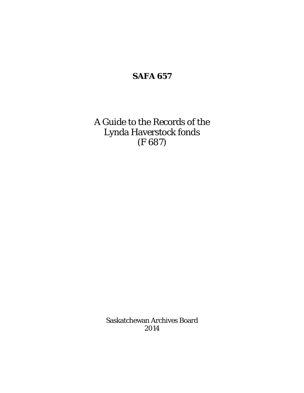### **SAFA 657**

A Guide to the Records of the Lynda Haverstock fonds (F 687)

> Saskatchewan Archives Board 2014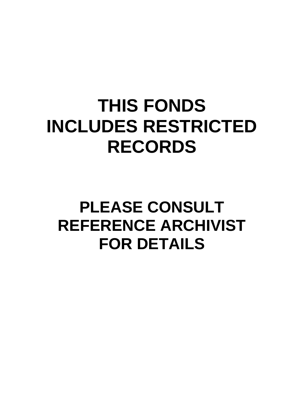## **THIS FONDS INCLUDES RESTRICTED RECORDS**

## **PLEASE CONSULT REFERENCE ARCHIVIST FOR DETAILS**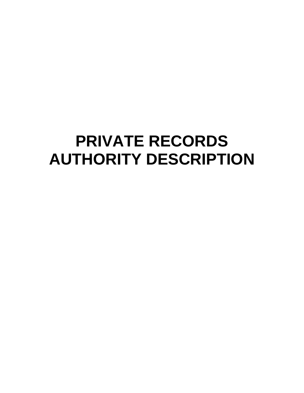### **PRIVATE RECORDS AUTHORITY DESCRIPTION**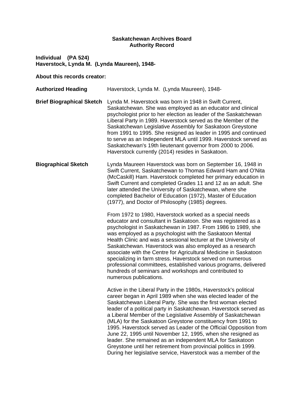#### **Saskatchewan Archives Board Authority Record**

**Individual (PA 524) Haverstock, Lynda M. (Lynda Maureen), 1948-**

#### **About this records creator:**

**Authorized Heading** Haverstock, Lynda M. (Lynda Maureen), 1948- **Brief Biographical Sketch** Lynda M. Haverstock was born in 1948 in Swift Current, Saskatchewan. She was employed as an educator and clinical psychologist prior to her election as leader of the Saskatchewan Liberal Party in 1989. Haverstock served as the Member of the Saskatchewan Legislative Assembly for Saskatoon Greystone from 1991 to 1995. She resigned as leader in 1995 and continued to serve as an Independent MLA until 1999. Haverstock served as Saskatchewan's 19th lieutenant governor from 2000 to 2006. Haverstock currently (2014) resides in Saskatoon. **Biographical Sketch** Lynda Maureen Haverstock was born on September 16, 1948 in Swift Current, Saskatchewan to Thomas Edward Ham and O'Nita (McCaskill) Ham. Haverstock completed her primary education in Swift Current and completed Grades 11 and 12 as an adult. She later attended the University of Saskatchewan, where she completed Bachelor of Education (1972), Master of Education (1977), and Doctor of Philosophy (1985) degrees. From 1972 to 1980, Haverstock worked as a special needs educator and consultant in Saskatoon. She was registered as a psychologist in Saskatchewan in 1987. From 1986 to 1989, she was employed as a psychologist with the Saskatoon Mental Health Clinic and was a sessional lecturer at the University of Saskatchewan. Haverstock was also employed as a research associate with the Centre for Agricultural Medicine in Saskatoon specializing in farm stress. Haverstock served on numerous professional committees, established various programs, delivered hundreds of seminars and workshops and contributed to numerous publications. Active in the Liberal Party in the 1980s, Haverstock's political career began in April 1989 when she was elected leader of the Saskatchewan Liberal Party. She was the first woman elected leader of a political party in Saskatchewan. Haverstock served as a Liberal Member of the Legislative Assembly of Saskatchewan (MLA) for the Saskatoon Greystone constituency from 1991 to 1995. Haverstock served as Leader of the Official Opposition from June 22, 1995 until November 12, 1995, when she resigned as leader. She remained as an independent MLA for Saskatoon Greystone until her retirement from provincial politics in 1999. During her legislative service, Haverstock was a member of the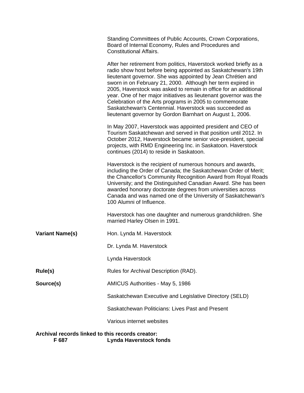|                                                                                            | Standing Committees of Public Accounts, Crown Corporations,<br>Board of Internal Economy, Rules and Procedures and<br><b>Constitutional Affairs.</b>                                                                                                                                                                                                                                                                                                                                                                                                                                         |  |
|--------------------------------------------------------------------------------------------|----------------------------------------------------------------------------------------------------------------------------------------------------------------------------------------------------------------------------------------------------------------------------------------------------------------------------------------------------------------------------------------------------------------------------------------------------------------------------------------------------------------------------------------------------------------------------------------------|--|
|                                                                                            | After her retirement from politics, Haverstock worked briefly as a<br>radio show host before being appointed as Saskatchewan's 19th<br>lieutenant governor. She was appointed by Jean Chrétien and<br>sworn in on February 21, 2000. Although her term expired in<br>2005, Haverstock was asked to remain in office for an additional<br>year. One of her major initiatives as lieutenant governor was the<br>Celebration of the Arts programs in 2005 to commemorate<br>Saskatchewan's Centennial. Haverstock was succeeded as<br>lieutenant governor by Gordon Barnhart on August 1, 2006. |  |
|                                                                                            | In May 2007, Haverstock was appointed president and CEO of<br>Tourism Saskatchewan and served in that position until 2012. In<br>October 2012, Haverstock became senior vice-president, special<br>projects, with RMD Engineering Inc. in Saskatoon. Haverstock<br>continues (2014) to reside in Saskatoon.                                                                                                                                                                                                                                                                                  |  |
|                                                                                            | Haverstock is the recipient of numerous honours and awards,<br>including the Order of Canada; the Saskatchewan Order of Merit;<br>the Chancellor's Community Recognition Award from Royal Roads<br>University; and the Distinguished Canadian Award. She has been<br>awarded honorary doctorate degrees from universities across<br>Canada and was named one of the University of Saskatchewan's<br>100 Alumni of Influence.                                                                                                                                                                 |  |
|                                                                                            | Haverstock has one daughter and numerous grandchildren. She<br>married Harley Olsen in 1991.                                                                                                                                                                                                                                                                                                                                                                                                                                                                                                 |  |
| <b>Variant Name(s)</b>                                                                     | Hon. Lynda M. Haverstock                                                                                                                                                                                                                                                                                                                                                                                                                                                                                                                                                                     |  |
|                                                                                            | Dr. Lynda M. Haverstock                                                                                                                                                                                                                                                                                                                                                                                                                                                                                                                                                                      |  |
|                                                                                            | Lynda Haverstock                                                                                                                                                                                                                                                                                                                                                                                                                                                                                                                                                                             |  |
| Rule(s)                                                                                    | Rules for Archival Description (RAD).                                                                                                                                                                                                                                                                                                                                                                                                                                                                                                                                                        |  |
| Source(s)                                                                                  | AMICUS Authorities - May 5, 1986                                                                                                                                                                                                                                                                                                                                                                                                                                                                                                                                                             |  |
|                                                                                            | Saskatchewan Executive and Legislative Directory (SELD)                                                                                                                                                                                                                                                                                                                                                                                                                                                                                                                                      |  |
|                                                                                            | Saskatchewan Politicians: Lives Past and Present                                                                                                                                                                                                                                                                                                                                                                                                                                                                                                                                             |  |
|                                                                                            | Various internet websites                                                                                                                                                                                                                                                                                                                                                                                                                                                                                                                                                                    |  |
| Archival records linked to this records creator:<br><b>Lynda Haverstock fonds</b><br>F 687 |                                                                                                                                                                                                                                                                                                                                                                                                                                                                                                                                                                                              |  |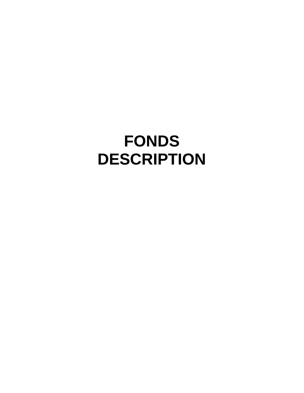### **FONDS DESCRIPTION**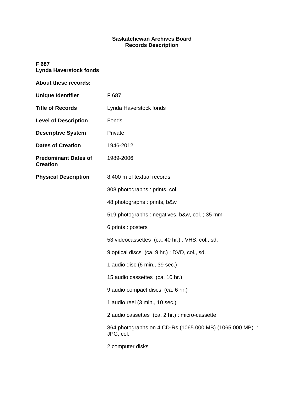#### **Saskatchewan Archives Board Records Description**

#### **F 687 Lynda Haverstock fonds**

| About these records:                           |                                                                       |
|------------------------------------------------|-----------------------------------------------------------------------|
| <b>Unique Identifier</b>                       | F 687                                                                 |
| <b>Title of Records</b>                        | Lynda Haverstock fonds                                                |
| <b>Level of Description</b>                    | Fonds                                                                 |
| <b>Descriptive System</b>                      | Private                                                               |
| <b>Dates of Creation</b>                       | 1946-2012                                                             |
| <b>Predominant Dates of</b><br><b>Creation</b> | 1989-2006                                                             |
| <b>Physical Description</b>                    | 8.400 m of textual records                                            |
|                                                | 808 photographs : prints, col.                                        |
|                                                | 48 photographs: prints, b&w                                           |
|                                                | 519 photographs : negatives, b&w, col.; 35 mm                         |
|                                                | 6 prints : posters                                                    |
|                                                | 53 videocassettes (ca. 40 hr.): VHS, col., sd.                        |
|                                                | 9 optical discs (ca. 9 hr.): DVD, col., sd.                           |
|                                                | 1 audio disc (6 min., 39 sec.)                                        |
|                                                | 15 audio cassettes (ca. 10 hr.)                                       |
|                                                | 9 audio compact discs (ca. 6 hr.)                                     |
|                                                | 1 audio reel (3 min., 10 sec.)                                        |
|                                                | 2 audio cassettes (ca. 2 hr.) : micro-cassette                        |
|                                                | 864 photographs on 4 CD-Rs (1065.000 MB) (1065.000 MB) :<br>JPG, col. |
|                                                | 2 computer disks                                                      |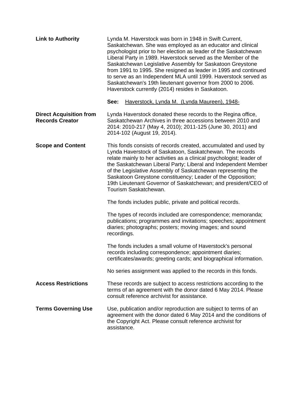| <b>Link to Authority</b>                                 | Lynda M. Haverstock was born in 1948 in Swift Current,<br>Saskatchewan. She was employed as an educator and clinical<br>psychologist prior to her election as leader of the Saskatchewan<br>Liberal Party in 1989. Haverstock served as the Member of the<br>Saskatchewan Legislative Assembly for Saskatoon Greystone<br>from 1991 to 1995. She resigned as leader in 1995 and continued<br>to serve as an Independent MLA until 1999. Haverstock served as<br>Saskatchewan's 19th lieutenant governor from 2000 to 2006.<br>Haverstock currently (2014) resides in Saskatoon. |
|----------------------------------------------------------|---------------------------------------------------------------------------------------------------------------------------------------------------------------------------------------------------------------------------------------------------------------------------------------------------------------------------------------------------------------------------------------------------------------------------------------------------------------------------------------------------------------------------------------------------------------------------------|
|                                                          | See:<br>Haverstock, Lynda M. (Lynda Maureen), 1948-                                                                                                                                                                                                                                                                                                                                                                                                                                                                                                                             |
| <b>Direct Acquisition from</b><br><b>Records Creator</b> | Lynda Haverstock donated these records to the Regina office,<br>Saskatchewan Archives in three accessions between 2010 and<br>2014: 2010-217 (May 4, 2010); 2011-125 (June 30, 2011) and<br>2014-102 (August 19, 2014).                                                                                                                                                                                                                                                                                                                                                         |
| <b>Scope and Content</b>                                 | This fonds consists of records created, accumulated and used by<br>Lynda Haverstock of Saskatoon, Saskatchewan. The records<br>relate mainly to her activities as a clinical psychologist; leader of<br>the Saskatchewan Liberal Party; Liberal and Independent Member<br>of the Legislative Assembly of Saskatchewan representing the<br>Saskatoon Greystone constituency; Leader of the Opposition;<br>19th Lieutenant Governor of Saskatchewan; and president/CEO of<br>Tourism Saskatchewan.                                                                                |
|                                                          | The fonds includes public, private and political records.                                                                                                                                                                                                                                                                                                                                                                                                                                                                                                                       |
|                                                          | The types of records included are correspondence; memoranda;<br>publications; programmes and invitations; speeches; appointment<br>diaries; photographs; posters; moving images; and sound<br>recordings.                                                                                                                                                                                                                                                                                                                                                                       |
|                                                          | The fonds includes a small volume of Haverstock's personal<br>records including correspondence; appointment diaries;<br>certificates/awards; greeting cards; and biographical information.                                                                                                                                                                                                                                                                                                                                                                                      |
|                                                          | No series assignment was applied to the records in this fonds.                                                                                                                                                                                                                                                                                                                                                                                                                                                                                                                  |
| <b>Access Restrictions</b>                               | These records are subject to access restrictions according to the<br>terms of an agreement with the donor dated 6 May 2014. Please<br>consult reference archivist for assistance.                                                                                                                                                                                                                                                                                                                                                                                               |
| <b>Terms Governing Use</b>                               | Use, publication and/or reproduction are subject to terms of an<br>agreement with the donor dated 6 May 2014 and the conditions of<br>the Copyright Act. Please consult reference archivist for<br>assistance.                                                                                                                                                                                                                                                                                                                                                                  |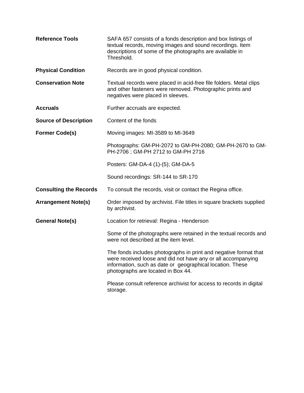| <b>Reference Tools</b>        | SAFA 657 consists of a fonds description and box listings of<br>textual records, moving images and sound recordings. Item<br>descriptions of some of the photographs are available in<br>Threshold.                                 |  |  |
|-------------------------------|-------------------------------------------------------------------------------------------------------------------------------------------------------------------------------------------------------------------------------------|--|--|
| <b>Physical Condition</b>     | Records are in good physical condition.                                                                                                                                                                                             |  |  |
| <b>Conservation Note</b>      | Textual records were placed in acid-free file folders. Metal clips<br>and other fasteners were removed. Photographic prints and<br>negatives were placed in sleeves.                                                                |  |  |
| <b>Accruals</b>               | Further accruals are expected.                                                                                                                                                                                                      |  |  |
| <b>Source of Description</b>  | Content of the fonds                                                                                                                                                                                                                |  |  |
| <b>Former Code(s)</b>         | Moving images: MI-3589 to MI-3649                                                                                                                                                                                                   |  |  |
|                               | Photographs: GM-PH-2072 to GM-PH-2080; GM-PH-2670 to GM-<br>PH-2706; GM-PH 2712 to GM-PH 2716                                                                                                                                       |  |  |
|                               | Posters: GM-DA-4 (1)-(5); GM-DA-5                                                                                                                                                                                                   |  |  |
|                               | Sound recordings: SR-144 to SR-170                                                                                                                                                                                                  |  |  |
| <b>Consulting the Records</b> | To consult the records, visit or contact the Regina office.                                                                                                                                                                         |  |  |
| <b>Arrangement Note(s)</b>    | Order imposed by archivist. File titles in square brackets supplied<br>by archivist.                                                                                                                                                |  |  |
| <b>General Note(s)</b>        | Location for retrieval: Regina - Henderson                                                                                                                                                                                          |  |  |
|                               | Some of the photographs were retained in the textual records and<br>were not described at the item level.                                                                                                                           |  |  |
|                               | The fonds includes photographs in print and negative format that<br>were received loose and did not have any or all accompanying<br>information, such as date or geographical location. These<br>photographs are located in Box 44. |  |  |
|                               | Please consult reference archivist for access to records in digital<br>storage.                                                                                                                                                     |  |  |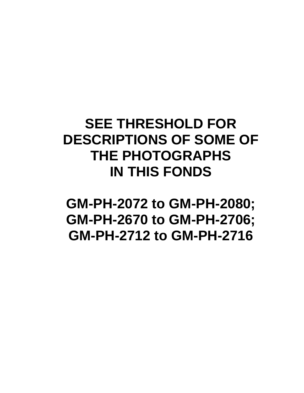### **SEE THRESHOLD FOR DESCRIPTIONS OF SOME OF THE PHOTOGRAPHS IN THIS FONDS**

**GM-PH-2072 to GM-PH-2080; GM-PH-2670 to GM-PH-2706; GM-PH-2712 to GM-PH-2716**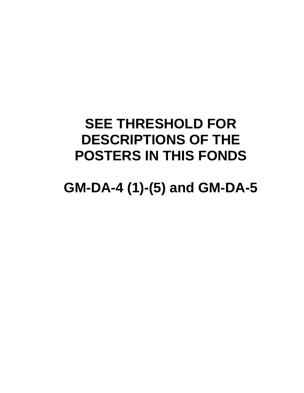### **SEE THRESHOLD FOR DESCRIPTIONS OF THE POSTERS IN THIS FONDS**

### **GM-DA-4 (1)-(5) and GM-DA-5**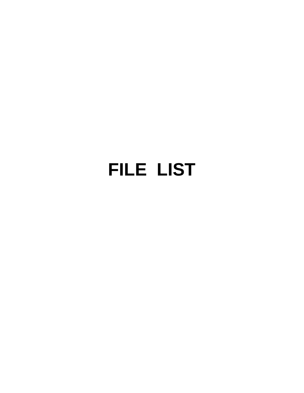# **FILE LIST**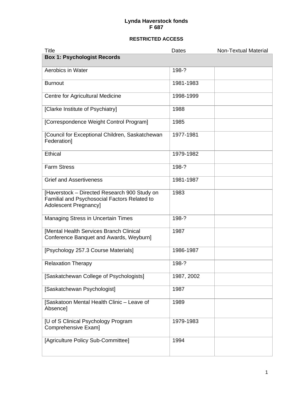| <b>Title</b>                                                                                                                 | Dates      | <b>Non-Textual Material</b> |
|------------------------------------------------------------------------------------------------------------------------------|------------|-----------------------------|
| <b>Box 1: Psychologist Records</b>                                                                                           |            |                             |
| Aerobics in Water                                                                                                            | 198-?      |                             |
| <b>Burnout</b>                                                                                                               | 1981-1983  |                             |
| Centre for Agricultural Medicine                                                                                             | 1998-1999  |                             |
| [Clarke Institute of Psychiatry]                                                                                             | 1988       |                             |
| [Correspondence Weight Control Program]                                                                                      | 1985       |                             |
| [Council for Exceptional Children, Saskatchewan<br>Federation]                                                               | 1977-1981  |                             |
| <b>Ethical</b>                                                                                                               | 1979-1982  |                             |
| <b>Farm Stress</b>                                                                                                           | 198-?      |                             |
| <b>Grief and Assertiveness</b>                                                                                               | 1981-1987  |                             |
| [Haverstock - Directed Research 900 Study on<br>Familial and Psychosocial Factors Related to<br><b>Adolescent Pregnancy]</b> | 1983       |                             |
| <b>Managing Stress in Uncertain Times</b>                                                                                    | 198-?      |                             |
| [Mental Health Services Branch Clinical<br>Conference Banquet and Awards, Weyburn]                                           | 1987       |                             |
| [Psychology 257.3 Course Materials]                                                                                          | 1986-1987  |                             |
| <b>Relaxation Therapy</b>                                                                                                    | 198-?      |                             |
| [Saskatchewan College of Psychologists]                                                                                      | 1987, 2002 |                             |
| [Saskatchewan Psychologist]                                                                                                  | 1987       |                             |
| [Saskatoon Mental Health Clinic - Leave of<br>Absence]                                                                       | 1989       |                             |
| [U of S Clinical Psychology Program<br>Comprehensive Exam]                                                                   | 1979-1983  |                             |
| [Agriculture Policy Sub-Committee]                                                                                           | 1994       |                             |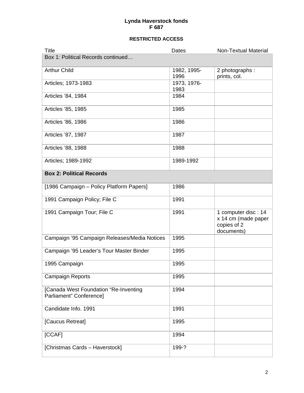| <b>Title</b>                                                     | Dates               | Non-Textual Material                                                    |
|------------------------------------------------------------------|---------------------|-------------------------------------------------------------------------|
| Box 1: Political Records continued                               |                     |                                                                         |
| <b>Arthur Child</b>                                              | 1982, 1995-<br>1996 | 2 photographs :<br>prints, col.                                         |
| Articles; 1973-1983                                              | 1973, 1976-<br>1983 |                                                                         |
| Articles '84, 1984                                               | 1984                |                                                                         |
| Articles '85, 1985                                               | 1985                |                                                                         |
| Articles '86, 1986                                               | 1986                |                                                                         |
| Articles '87, 1987                                               | 1987                |                                                                         |
| Articles '88, 1988                                               | 1988                |                                                                         |
| Articles; 1989-1992                                              | 1989-1992           |                                                                         |
| <b>Box 2: Political Records</b>                                  |                     |                                                                         |
| [1986 Campaign - Policy Platform Papers]                         | 1986                |                                                                         |
| 1991 Campaign Policy; File C                                     | 1991                |                                                                         |
| 1991 Campaign Tour; File C                                       | 1991                | 1 computer disc: 14<br>x 14 cm (made paper<br>copies of 2<br>documents) |
| Campaign '95 Campaign Releases/Media Notices                     | 1995                |                                                                         |
| Campaign '95 Leader's Tour Master Binder                         | 1995                |                                                                         |
| 1995 Campaign                                                    | 1995                |                                                                         |
| <b>Campaign Reports</b>                                          | 1995                |                                                                         |
| [Canada West Foundation "Re-Inventing<br>Parliament" Conference] | 1994                |                                                                         |
| Candidate Info. 1991                                             | 1991                |                                                                         |
| [Caucus Retreat]                                                 | 1995                |                                                                         |
| [CCAF]                                                           | 1994                |                                                                         |
| [Christmas Cards - Haverstock]                                   | 199-?               |                                                                         |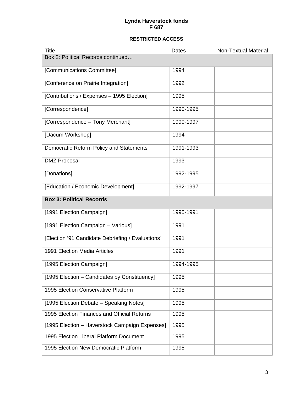| <b>Title</b>                                      | Dates     | Non-Textual Material |
|---------------------------------------------------|-----------|----------------------|
| Box 2: Political Records continued                |           |                      |
| [Communications Committee]                        | 1994      |                      |
| [Conference on Prairie Integration]               | 1992      |                      |
| [Contributions / Expenses - 1995 Election]        | 1995      |                      |
| [Correspondence]                                  | 1990-1995 |                      |
| [Correspondence - Tony Merchant]                  | 1990-1997 |                      |
| [Dacum Workshop]                                  | 1994      |                      |
| Democratic Reform Policy and Statements           | 1991-1993 |                      |
| <b>DMZ Proposal</b>                               | 1993      |                      |
| [Donations]                                       | 1992-1995 |                      |
| [Education / Economic Development]                | 1992-1997 |                      |
| <b>Box 3: Political Records</b>                   |           |                      |
| [1991 Election Campaign]                          | 1990-1991 |                      |
| [1991 Election Campaign - Various]                | 1991      |                      |
| [Election '91 Candidate Debriefing / Evaluations] | 1991      |                      |
| 1991 Election Media Articles                      | 1991      |                      |
| [1995 Election Campaign]                          | 1994-1995 |                      |
| [1995 Election - Candidates by Constituency]      | 1995      |                      |
| 1995 Election Conservative Platform               | 1995      |                      |
| [1995 Election Debate - Speaking Notes]           | 1995      |                      |
| 1995 Election Finances and Official Returns       | 1995      |                      |
| [1995 Election - Haverstock Campaign Expenses]    | 1995      |                      |
| 1995 Election Liberal Platform Document           | 1995      |                      |
| 1995 Election New Democratic Platform             | 1995      |                      |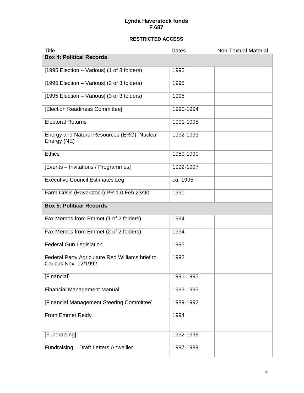| <b>Title</b>                                                                  | Dates     | <b>Non-Textual Material</b> |
|-------------------------------------------------------------------------------|-----------|-----------------------------|
| <b>Box 4: Political Records</b>                                               |           |                             |
| [1995 Election – Various] (1 of 3 folders)                                    | 1995      |                             |
| [1995 Election – Various] (2 of 3 folders)                                    | 1995      |                             |
| [1995 Election – Various] (3 of 3 folders)                                    | 1995      |                             |
| [Election Readiness Committee]                                                | 1990-1994 |                             |
| <b>Electoral Returns</b>                                                      | 1991-1995 |                             |
| Energy and Natural Resources (ERG), Nuclear<br>Energy (NE)                    | 1992-1993 |                             |
| <b>Ethics</b>                                                                 | 1989-1990 |                             |
| [Events – Invitations / Programmes]                                           | 1992-1997 |                             |
| <b>Executive Council Estimates Leg</b>                                        | ca. 1995  |                             |
| Farm Crisis (Haverstock) PR 1.0 Feb 23/90                                     | 1990      |                             |
| <b>Box 5: Political Records</b>                                               |           |                             |
| Fax Memos from Emmet (1 of 2 folders)                                         | 1994      |                             |
| Fax Memos from Emmet (2 of 2 folders)                                         | 1994      |                             |
| <b>Federal Gun Legislation</b>                                                | 1995      |                             |
| Federal Party Agriculture Red Williams brief to<br><b>Caucus Nov. 12/1992</b> | 1992      |                             |
| [Financial]                                                                   | 1991-1995 |                             |
| <b>Financial Management Manual</b>                                            | 1993-1995 |                             |
| [Financial Management Steering Committee]                                     | 1989-1992 |                             |
| From Emmet Reidy                                                              | 1994      |                             |
| [Fundraising]                                                                 | 1992-1995 |                             |
| Fundraising - Draft Letters Anweiller                                         | 1987-1989 |                             |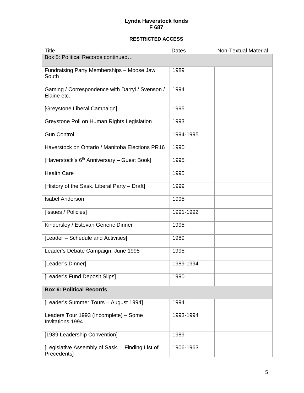| Title                                                            | Dates     | <b>Non-Textual Material</b> |
|------------------------------------------------------------------|-----------|-----------------------------|
| Box 5: Political Records continued                               |           |                             |
| Fundraising Party Memberships - Moose Jaw<br>South               | 1989      |                             |
| Gaming / Correspondence with Darryl / Svenson /<br>Elaine etc.   | 1994      |                             |
| [Greystone Liberal Campaign]                                     | 1995      |                             |
| Greystone Poll on Human Rights Legislation                       | 1993      |                             |
| <b>Gun Control</b>                                               | 1994-1995 |                             |
| Haverstock on Ontario / Manitoba Elections PR16                  | 1990      |                             |
| [Haverstock's 6 <sup>th</sup> Anniversary - Guest Book]          | 1995      |                             |
| <b>Health Care</b>                                               | 1995      |                             |
| [History of the Sask. Liberal Party - Draft]                     | 1999      |                             |
| <b>Isabel Anderson</b>                                           | 1995      |                             |
| [Issues / Policies]                                              | 1991-1992 |                             |
| Kindersley / Estevan Generic Dinner                              | 1995      |                             |
| [Leader - Schedule and Activities]                               | 1989      |                             |
| Leader's Debate Campaign, June 1995                              | 1995      |                             |
| [Leader's Dinner]                                                | 1989-1994 |                             |
| [Leader's Fund Deposit Slips]                                    | 1990      |                             |
| <b>Box 6: Political Records</b>                                  |           |                             |
| [Leader's Summer Tours - August 1994]                            | 1994      |                             |
| Leaders Tour 1993 (Incomplete) - Some<br><b>Invitations 1994</b> | 1993-1994 |                             |
| [1989 Leadership Convention]                                     | 1989      |                             |
| [Legislative Assembly of Sask. - Finding List of<br>Precedents]  | 1906-1963 |                             |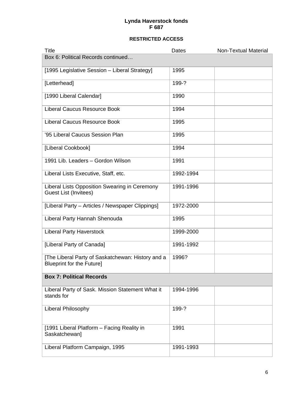| Title                                                                                 | Dates     | <b>Non-Textual Material</b> |
|---------------------------------------------------------------------------------------|-----------|-----------------------------|
| Box 6: Political Records continued                                                    |           |                             |
| [1995 Legislative Session - Liberal Strategy]                                         | 1995      |                             |
| [Letterhead]                                                                          | 199-?     |                             |
| [1990 Liberal Calendar]                                                               | 1990      |                             |
| <b>Liberal Caucus Resource Book</b>                                                   | 1994      |                             |
| <b>Liberal Caucus Resource Book</b>                                                   | 1995      |                             |
| '95 Liberal Caucus Session Plan                                                       | 1995      |                             |
| [Liberal Cookbook]                                                                    | 1994      |                             |
| 1991 Lib. Leaders - Gordon Wilson                                                     | 1991      |                             |
| Liberal Lists Executive, Staff, etc.                                                  | 1992-1994 |                             |
| Liberal Lists Opposition Swearing in Ceremony<br><b>Guest List (Invitees)</b>         | 1991-1996 |                             |
| [Liberal Party – Articles / Newspaper Clippings]                                      | 1972-2000 |                             |
| Liberal Party Hannah Shenouda                                                         | 1995      |                             |
| <b>Liberal Party Haverstock</b>                                                       | 1999-2000 |                             |
| [Liberal Party of Canada]                                                             | 1991-1992 |                             |
| [The Liberal Party of Saskatchewan: History and a<br><b>Blueprint for the Future]</b> | 1996?     |                             |
| <b>Box 7: Political Records</b>                                                       |           |                             |
| Liberal Party of Sask. Mission Statement What it<br>stands for                        | 1994-1996 |                             |
| Liberal Philosophy                                                                    | 199-?     |                             |
| [1991 Liberal Platform - Facing Reality in<br>Saskatchewan]                           | 1991      |                             |
| Liberal Platform Campaign, 1995                                                       | 1991-1993 |                             |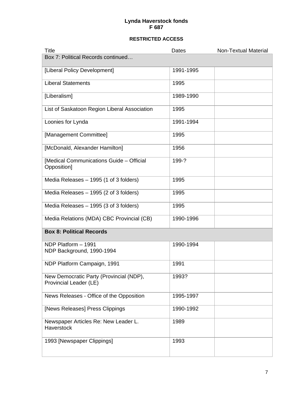| <b>Title</b>                                                      | Dates     | <b>Non-Textual Material</b> |
|-------------------------------------------------------------------|-----------|-----------------------------|
| Box 7: Political Records continued                                |           |                             |
| [Liberal Policy Development]                                      | 1991-1995 |                             |
| <b>Liberal Statements</b>                                         | 1995      |                             |
| [Liberalism]                                                      | 1989-1990 |                             |
| List of Saskatoon Region Liberal Association                      | 1995      |                             |
| Loonies for Lynda                                                 | 1991-1994 |                             |
| [Management Committee]                                            | 1995      |                             |
| [McDonald, Alexander Hamilton]                                    | 1956      |                             |
| [Medical Communications Guide - Official<br>Opposition]           | 199-?     |                             |
| Media Releases - 1995 (1 of 3 folders)                            | 1995      |                             |
| Media Releases - 1995 (2 of 3 folders)                            | 1995      |                             |
| Media Releases - 1995 (3 of 3 folders)                            | 1995      |                             |
| Media Relations (MDA) CBC Provincial (CB)                         | 1990-1996 |                             |
| <b>Box 8: Political Records</b>                                   |           |                             |
| NDP Platform - 1991<br>NDP Background, 1990-1994                  | 1990-1994 |                             |
| NDP Platform Campaign, 1991                                       | 1991      |                             |
| New Democratic Party (Provincial (NDP),<br>Provincial Leader (LE) | 1993?     |                             |
| News Releases - Office of the Opposition                          | 1995-1997 |                             |
| [News Releases] Press Clippings                                   | 1990-1992 |                             |
| Newspaper Articles Re: New Leader L.<br>Haverstock                | 1989      |                             |
| 1993 [Newspaper Clippings]                                        | 1993      |                             |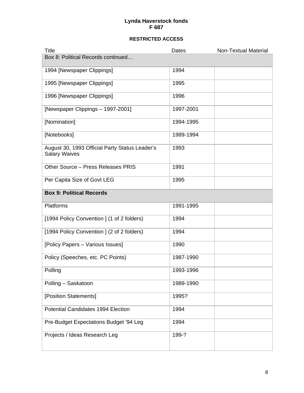| <b>Title</b>                                                           | Dates     | <b>Non-Textual Material</b> |
|------------------------------------------------------------------------|-----------|-----------------------------|
| Box 8: Political Records continued                                     |           |                             |
| 1994 [Newspaper Clippings]                                             | 1994      |                             |
| 1995 [Newspaper Clippings]                                             | 1995      |                             |
| 1996 [Newspaper Clippings]                                             | 1996      |                             |
| [Newspaper Clippings - 1997-2001]                                      | 1997-2001 |                             |
| [Nomination]                                                           | 1994-1995 |                             |
| [Notebooks]                                                            | 1989-1994 |                             |
| August 30, 1993 Official Party Status Leader's<br><b>Salary Waives</b> | 1993      |                             |
| Other Source - Press Releases PRIS                                     | 1991      |                             |
| Per Capita Size of Govt LEG                                            | 1995      |                             |
| <b>Box 9: Political Records</b>                                        |           |                             |
| Platforms                                                              | 1991-1995 |                             |
| [1994 Policy Convention] (1 of 2 folders)                              | 1994      |                             |
| [1994 Policy Convention] (2 of 2 folders)                              | 1994      |                             |
| [Policy Papers - Various Issues]                                       | 1990      |                             |
| Policy (Speeches, etc. PC Points)                                      | 1987-1990 |                             |
| Polling                                                                | 1993-1996 |                             |
| Polling - Saskatoon                                                    | 1989-1990 |                             |
| [Position Statements]                                                  | 1995?     |                             |
| Potential Candidates 1994 Election                                     | 1994      |                             |
| Pre-Budget Expectations Budget '94 Leg                                 | 1994      |                             |
| Projects / Ideas Research Leg                                          | 199-?     |                             |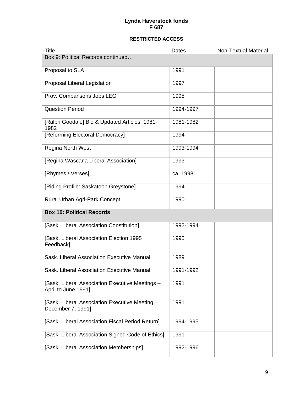| <b>Title</b>                                                           | Dates     | <b>Non-Textual Material</b> |
|------------------------------------------------------------------------|-----------|-----------------------------|
| Box 9: Political Records continued                                     |           |                             |
| Proposal to SLA                                                        | 1991      |                             |
| Proposal Liberal Legislation                                           | 1997      |                             |
| Prov. Comparisons Jobs LEG                                             | 1995      |                             |
| <b>Question Period</b>                                                 | 1994-1997 |                             |
| [Ralph Goodale] Bio & Updated Articles, 1981-<br>1982                  | 1981-1982 |                             |
| [Reforming Electoral Democracy]                                        | 1994      |                             |
| Regina North West                                                      | 1993-1994 |                             |
| [Regina Wascana Liberal Association]                                   | 1993      |                             |
| [Rhymes / Verses]                                                      | ca. 1998  |                             |
| [Riding Profile: Saskatoon Greystone]                                  | 1994      |                             |
| Rural Urban Agri-Park Concept                                          | 1990      |                             |
| <b>Box 10: Political Records</b>                                       |           |                             |
| [Sask. Liberal Association Constitution]                               | 1992-1994 |                             |
| [Sask. Liberal Association Election 1995<br>Feedback]                  | 1995      |                             |
| Sask. Liberal Association Executive Manual                             | 1989      |                             |
| Sask. Liberal Association Executive Manual                             | 1991-1992 |                             |
| [Sask. Liberal Association Executive Meetings -<br>April to June 1991] | 1991      |                             |
| [Sask. Liberal Association Executive Meeting -<br>December 7, 1991]    | 1991      |                             |
| [Sask. Liberal Association Fiscal Period Return]                       | 1994-1995 |                             |
| [Sask. Liberal Association Signed Code of Ethics]                      | 1991      |                             |
| [Sask. Liberal Association Memberships]                                | 1992-1996 |                             |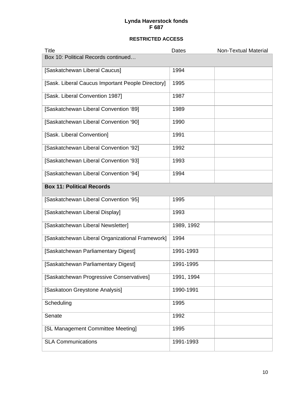| Title                                             | Dates      | <b>Non-Textual Material</b> |
|---------------------------------------------------|------------|-----------------------------|
| Box 10: Political Records continued               |            |                             |
| [Saskatchewan Liberal Caucus]                     | 1994       |                             |
| [Sask. Liberal Caucus Important People Directory] | 1995       |                             |
| [Sask. Liberal Convention 1987]                   | 1987       |                             |
| [Saskatchewan Liberal Convention '89]             | 1989       |                             |
| [Saskatchewan Liberal Convention '90]             | 1990       |                             |
| [Sask. Liberal Convention]                        | 1991       |                             |
| [Saskatchewan Liberal Convention '92]             | 1992       |                             |
| [Saskatchewan Liberal Convention '93]             | 1993       |                             |
| [Saskatchewan Liberal Convention '94]             | 1994       |                             |
| <b>Box 11: Political Records</b>                  |            |                             |
| [Saskatchewan Liberal Convention '95]             | 1995       |                             |
| [Saskatchewan Liberal Display]                    | 1993       |                             |
| [Saskatchewan Liberal Newsletter]                 | 1989, 1992 |                             |
| [Saskatchewan Liberal Organizational Framework]   | 1994       |                             |
| [Saskatchewan Parliamentary Digest]               | 1991-1993  |                             |
| [Saskatchewan Parliamentary Digest]               | 1991-1995  |                             |
| [Saskatchewan Progressive Conservatives]          | 1991, 1994 |                             |
| [Saskatoon Greystone Analysis]                    | 1990-1991  |                             |
| Scheduling                                        | 1995       |                             |
| Senate                                            | 1992       |                             |
| [SL Management Committee Meeting]                 | 1995       |                             |
| <b>SLA Communications</b>                         | 1991-1993  |                             |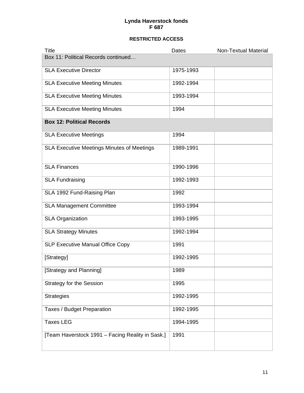| <b>Title</b>                                     | Dates     | <b>Non-Textual Material</b> |
|--------------------------------------------------|-----------|-----------------------------|
| Box 11: Political Records continued              |           |                             |
| <b>SLA Executive Director</b>                    | 1975-1993 |                             |
| <b>SLA Executive Meeting Minutes</b>             | 1992-1994 |                             |
| <b>SLA Executive Meeting Minutes</b>             | 1993-1994 |                             |
| <b>SLA Executive Meeting Minutes</b>             | 1994      |                             |
| <b>Box 12: Political Records</b>                 |           |                             |
| <b>SLA Executive Meetings</b>                    | 1994      |                             |
| SLA Executive Meetings Minutes of Meetings       | 1989-1991 |                             |
| <b>SLA Finances</b>                              | 1990-1996 |                             |
| <b>SLA Fundraising</b>                           | 1992-1993 |                             |
| SLA 1992 Fund-Raising Plan                       | 1992      |                             |
| <b>SLA Management Committee</b>                  | 1993-1994 |                             |
| <b>SLA Organization</b>                          | 1993-1995 |                             |
| <b>SLA Strategy Minutes</b>                      | 1992-1994 |                             |
| <b>SLP Executive Manual Office Copy</b>          | 1991      |                             |
| [Strategy]                                       | 1992-1995 |                             |
| [Strategy and Planning]                          | 1989      |                             |
| <b>Strategy for the Session</b>                  | 1995      |                             |
| <b>Strategies</b>                                | 1992-1995 |                             |
| Taxes / Budget Preparation                       | 1992-1995 |                             |
| <b>Taxes LEG</b>                                 | 1994-1995 |                             |
| [Team Haverstock 1991 - Facing Reality in Sask.] | 1991      |                             |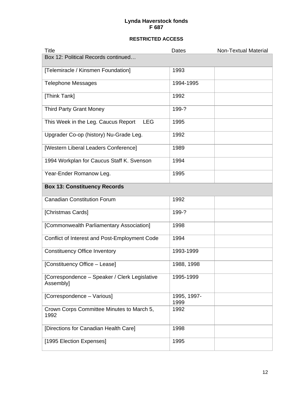| <b>Title</b>                                               | Dates               | <b>Non-Textual Material</b> |
|------------------------------------------------------------|---------------------|-----------------------------|
| Box 12: Political Records continued                        |                     |                             |
| [Telemiracle / Kinsmen Foundation]                         | 1993                |                             |
| <b>Telephone Messages</b>                                  | 1994-1995           |                             |
| [Think Tank]                                               | 1992                |                             |
| <b>Third Party Grant Money</b>                             | 199-?               |                             |
| This Week in the Leg. Caucus Report<br><b>LEG</b>          | 1995                |                             |
| Upgrader Co-op (history) Nu-Grade Leg.                     | 1992                |                             |
| [Western Liberal Leaders Conference]                       | 1989                |                             |
| 1994 Workplan for Caucus Staff K. Svenson                  | 1994                |                             |
| Year-Ender Romanow Leg.                                    | 1995                |                             |
| <b>Box 13: Constituency Records</b>                        |                     |                             |
| <b>Canadian Constitution Forum</b>                         | 1992                |                             |
| [Christmas Cards]                                          | 199-?               |                             |
| [Commonwealth Parliamentary Association]                   | 1998                |                             |
| Conflict of Interest and Post-Employment Code              | 1994                |                             |
| <b>Constituency Office Inventory</b>                       | 1993-1999           |                             |
| [Constituency Office - Lease]                              | 1988, 1998          |                             |
| [Correspondence – Speaker / Clerk Legislative<br>Assembly] | 1995-1999           |                             |
| [Correspondence - Various]                                 | 1995, 1997-<br>1999 |                             |
| Crown Corps Committee Minutes to March 5,<br>1992          | 1992                |                             |
| [Directions for Canadian Health Care]                      | 1998                |                             |
| [1995 Election Expenses]                                   | 1995                |                             |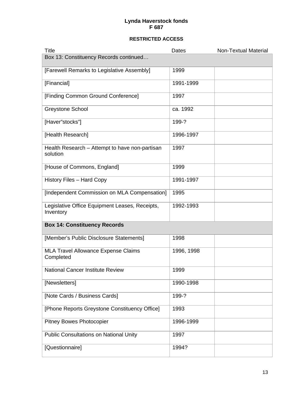| <b>Title</b>                                                | Dates      | <b>Non-Textual Material</b> |
|-------------------------------------------------------------|------------|-----------------------------|
| Box 13: Constituency Records continued                      |            |                             |
| [Farewell Remarks to Legislative Assembly]                  | 1999       |                             |
| [Financial]                                                 | 1991-1999  |                             |
| [Finding Common Ground Conference]                          | 1997       |                             |
| <b>Greystone School</b>                                     | ca. 1992   |                             |
| [Haver"stocks"]                                             | 199-?      |                             |
| [Health Research]                                           | 1996-1997  |                             |
| Health Research - Attempt to have non-partisan<br>solution  | 1997       |                             |
| [House of Commons, England]                                 | 1999       |                             |
| <b>History Files - Hard Copy</b>                            | 1991-1997  |                             |
| [Independent Commission on MLA Compensation]                | 1995       |                             |
| Legislative Office Equipment Leases, Receipts,<br>Inventory | 1992-1993  |                             |
| <b>Box 14: Constituency Records</b>                         |            |                             |
| [Member's Public Disclosure Statements]                     | 1998       |                             |
| <b>MLA Travel Allowance Expense Claims</b><br>Completed     | 1996, 1998 |                             |
| <b>National Cancer Institute Review</b>                     | 1999       |                             |
| [Newsletters]                                               | 1990-1998  |                             |
| [Note Cards / Business Cards]                               | 199-?      |                             |
| [Phone Reports Greystone Constituency Office]               | 1993       |                             |
| <b>Pitney Bowes Photocopier</b>                             | 1996-1999  |                             |
| <b>Public Consultations on National Unity</b>               | 1997       |                             |
| [Questionnaire]                                             | 1994?      |                             |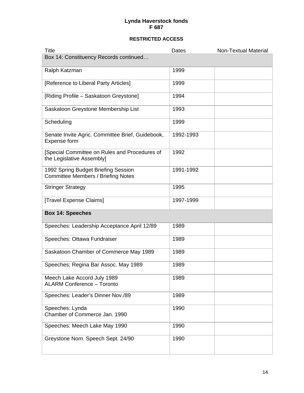| <b>Title</b>                                                                     | Dates     | <b>Non-Textual Material</b> |
|----------------------------------------------------------------------------------|-----------|-----------------------------|
| Box 14: Constituency Records continued                                           |           |                             |
| Ralph Katzman                                                                    | 1999      |                             |
| [Reference to Liberal Party Articles]                                            | 1999      |                             |
| [Riding Profile - Saskatoon Greystone]                                           | 1994      |                             |
| Saskatoon Greystone Membership List                                              | 1993      |                             |
| Scheduling                                                                       | 1999      |                             |
| Senate Invite Agric. Committee Brief, Guidebook,<br>Expense form                 | 1992-1993 |                             |
| [Special Committee on Rules and Procedures of<br>the Legislative Assembly]       | 1992      |                             |
| 1992 Spring Budget Briefing Session<br><b>Committee Members / Briefing Notes</b> | 1991-1992 |                             |
| <b>Stringer Strategy</b>                                                         | 1995      |                             |
| [Travel Expense Claims]                                                          | 1997-1999 |                             |
| <b>Box 14: Speeches</b>                                                          |           |                             |
| Speeches: Leadership Acceptance April 12/89                                      | 1989      |                             |
| Speeches: Ottawa Fundraiser                                                      | 1989      |                             |
| Saskatoon Chamber of Commerce May 1989                                           | 1989      |                             |
| Speeches; Regina Bar Assoc. May 1989                                             | 1989      |                             |
| Meech Lake Accord July 1989<br><b>ALARM Conference - Toronto</b>                 | 1989      |                             |
| Speeches: Leader's Dinner Nov./89                                                | 1989      |                             |
| Speeches: Lynda<br>Chamber of Commerce Jan. 1990                                 | 1990      |                             |
| Speeches: Meech Lake May 1990                                                    | 1990      |                             |
| Greystone Nom. Speech Sept. 24/90                                                | 1990      |                             |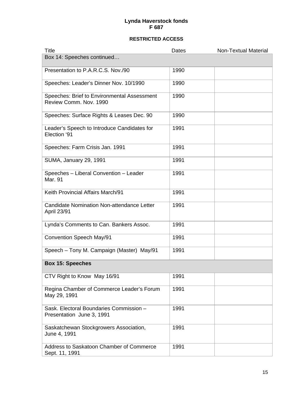| <b>Title</b>                                                          | Dates | <b>Non-Textual Material</b> |
|-----------------------------------------------------------------------|-------|-----------------------------|
| Box 14: Speeches continued                                            |       |                             |
| Presentation to P.A.R.C.S. Nov./90                                    | 1990  |                             |
| Speeches: Leader's Dinner Nov. 10/1990                                | 1990  |                             |
| Speeches: Brief to Environmental Assessment<br>Review Comm. Nov. 1990 | 1990  |                             |
| Speeches: Surface Rights & Leases Dec. 90                             | 1990  |                             |
| Leader's Speech to Introduce Candidates for<br>Election '91           | 1991  |                             |
| Speeches: Farm Crisis Jan. 1991                                       | 1991  |                             |
| <b>SUMA, January 29, 1991</b>                                         | 1991  |                             |
| Speeches - Liberal Convention - Leader<br>Mar. 91                     | 1991  |                             |
| Keith Provincial Affairs March/91                                     | 1991  |                             |
| Candidate Nomination Non-attendance Letter<br>April 23/91             | 1991  |                             |
| Lynda's Comments to Can. Bankers Assoc.                               | 1991  |                             |
| Convention Speech May/91                                              | 1991  |                             |
| Speech - Tony M. Campaign (Master) May/91                             | 1991  |                             |
| <b>Box 15: Speeches</b>                                               |       |                             |
| CTV Right to Know May 16/91                                           | 1991  |                             |
| Regina Chamber of Commerce Leader's Forum<br>May 29, 1991             | 1991  |                             |
| Sask. Electoral Boundaries Commission -<br>Presentation June 3, 1991  | 1991  |                             |
| Saskatchewan Stockgrowers Association,<br>June 4, 1991                | 1991  |                             |
| Address to Saskatoon Chamber of Commerce<br>Sept. 11, 1991            | 1991  |                             |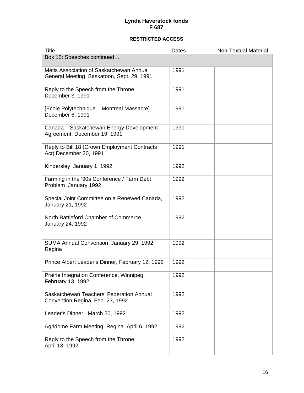| <b>Title</b>                                                                           | Dates | <b>Non-Textual Material</b> |
|----------------------------------------------------------------------------------------|-------|-----------------------------|
| Box 15: Speeches continued                                                             |       |                             |
| Métis Association of Saskatchewan Annual<br>General Meeting, Saskatoon, Sept. 29, 1991 | 1991  |                             |
| Reply to the Speech from the Throne,<br>December 3, 1991                               | 1991  |                             |
| [Ecole Polytechnique - Montreal Massacre]<br>December 6, 1991                          | 1991  |                             |
| Canada - Saskatchewan Energy Development<br>Agreement, December 19, 1991               | 1991  |                             |
| Reply to Bill 18 (Crown Employment Contracts<br>Act) December 20, 1991                 | 1991  |                             |
| Kindersley January 1, 1992                                                             | 1992  |                             |
| Farming in the '90s Conference / Farm Debt<br>Problem January 1992                     | 1992  |                             |
| Special Joint Committee on a Renewed Canada,<br>January 21, 1992                       | 1992  |                             |
| North Battleford Chamber of Commerce<br>January 24, 1992                               | 1992  |                             |
| SUMA Annual Convention January 29, 1992<br>Regina                                      | 1992  |                             |
| Prince Albert Leader's Dinner, February 12, 1992                                       | 1992  |                             |
| Prairie Integration Conference, Winnipeg<br>February 13, 1992                          | 1992  |                             |
| Saskatchewan Teachers' Federation Annual<br>Convention Regina Feb. 23, 1992            | 1992  |                             |
| Leader's Dinner March 20, 1992                                                         | 1992  |                             |
| Agridome Farm Meeting, Regina April 6, 1992                                            | 1992  |                             |
| Reply to the Speech from the Throne,<br>April 13, 1992                                 | 1992  |                             |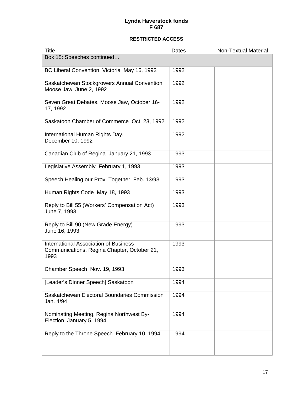| <b>Title</b>                                                                                        | Dates | <b>Non-Textual Material</b> |
|-----------------------------------------------------------------------------------------------------|-------|-----------------------------|
| Box 15: Speeches continued                                                                          |       |                             |
| BC Liberal Convention, Victoria May 16, 1992                                                        | 1992  |                             |
| Saskatchewan Stockgrowers Annual Convention<br>Moose Jaw June 2, 1992                               | 1992  |                             |
| Seven Great Debates, Moose Jaw, October 16-<br>17, 1992                                             | 1992  |                             |
| Saskatoon Chamber of Commerce Oct. 23, 1992                                                         | 1992  |                             |
| International Human Rights Day,<br>December 10, 1992                                                | 1992  |                             |
| Canadian Club of Regina January 21, 1993                                                            | 1993  |                             |
| Legislative Assembly February 1, 1993                                                               | 1993  |                             |
| Speech Healing our Prov. Together Feb. 13/93                                                        | 1993  |                             |
| Human Rights Code May 18, 1993                                                                      | 1993  |                             |
| Reply to Bill 55 (Workers' Compensation Act)<br>June 7, 1993                                        | 1993  |                             |
| Reply to Bill 90 (New Grade Energy)<br>June 16, 1993                                                | 1993  |                             |
| <b>International Association of Business</b><br>Communications, Regina Chapter, October 21,<br>1993 | 1993  |                             |
| Chamber Speech Nov. 19, 1993                                                                        | 1993  |                             |
| [Leader's Dinner Speech] Saskatoon                                                                  | 1994  |                             |
| Saskatchewan Electoral Boundaries Commission<br>Jan. 4/94                                           | 1994  |                             |
| Nominating Meeting, Regina Northwest By-<br>Election January 5, 1994                                | 1994  |                             |
| Reply to the Throne Speech February 10, 1994                                                        | 1994  |                             |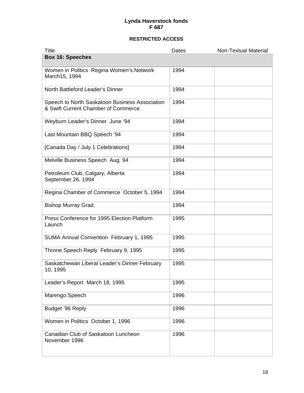| <b>Title</b>                                                                          | Dates | <b>Non-Textual Material</b> |
|---------------------------------------------------------------------------------------|-------|-----------------------------|
| <b>Box 16: Speeches</b>                                                               |       |                             |
| Women in Politics Regina Women's Network<br>March15, 1994                             | 1994  |                             |
| North Battleford Leader's Dinner                                                      | 1994  |                             |
| Speech to North Saskatoon Business Association<br>& Swift Current Chamber of Commerce | 1994  |                             |
| Weyburn Leader's Dinner June '94                                                      | 1994  |                             |
| Last Mountain BBQ Speech '94                                                          | 1994  |                             |
| [Canada Day / July 1 Celebrations]                                                    | 1994  |                             |
| Melville Business Speech Aug. 94                                                      | 1994  |                             |
| Petroleum Club, Calgary, Alberta<br>September 26, 1994                                | 1994  |                             |
| Regina Chamber of Commerce October 5, 1994                                            | 1994  |                             |
| Bishop Murray Grad.                                                                   | 1994  |                             |
| Press Conference for 1995 Election Platform<br>Launch                                 | 1995  |                             |
| SUMA Annual Convention February 1, 1995                                               | 1995  |                             |
| Throne Speech Reply February 9, 1995                                                  | 1995  |                             |
| Saskatchewan Liberal Leader's Dinner February<br>10, 1995                             | 1995  |                             |
| Leader's Report March 18, 1995                                                        | 1995  |                             |
| Marengo Speech                                                                        | 1996  |                             |
| Budget '96 Reply                                                                      | 1996  |                             |
| Women in Politics October 1, 1996                                                     | 1996  |                             |
| Canadian Club of Saskatoon Luncheon<br>November 1996                                  | 1996  |                             |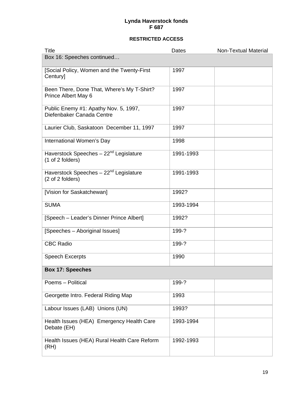| <b>Title</b>                                                           | Dates     | <b>Non-Textual Material</b> |
|------------------------------------------------------------------------|-----------|-----------------------------|
| Box 16: Speeches continued                                             |           |                             |
| [Social Policy, Women and the Twenty-First<br>Century]                 | 1997      |                             |
| Been There, Done That, Where's My T-Shirt?<br>Prince Albert May 6      | 1997      |                             |
| Public Enemy #1: Apathy Nov. 5, 1997,<br>Diefenbaker Canada Centre     | 1997      |                             |
| Laurier Club, Saskatoon December 11, 1997                              | 1997      |                             |
| International Women's Day                                              | 1998      |                             |
| Haverstock Speeches - 22 <sup>nd</sup> Legislature<br>(1 of 2 folders) | 1991-1993 |                             |
| Haverstock Speeches - 22 <sup>nd</sup> Legislature<br>(2 of 2 folders) | 1991-1993 |                             |
| [Vision for Saskatchewan]                                              | 1992?     |                             |
| <b>SUMA</b>                                                            | 1993-1994 |                             |
| [Speech - Leader's Dinner Prince Albert]                               | 1992?     |                             |
| [Speeches - Aboriginal Issues]                                         | 199-?     |                             |
| <b>CBC Radio</b>                                                       | 199-?     |                             |
| <b>Speech Excerpts</b>                                                 | 1990      |                             |
| <b>Box 17: Speeches</b>                                                |           |                             |
| Poems - Political                                                      | 199-?     |                             |
| Georgette Intro. Federal Riding Map                                    | 1993      |                             |
| Labour Issues (LAB) Unions (UN)                                        | 1993?     |                             |
| Health Issues (HEA) Emergency Health Care<br>Debate (EH)               | 1993-1994 |                             |
| Health Issues (HEA) Rural Health Care Reform<br>(RH)                   | 1992-1993 |                             |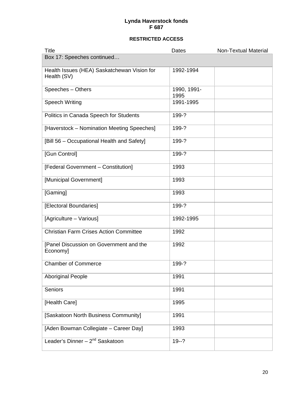| <b>Title</b>                                               | Dates               | <b>Non-Textual Material</b> |
|------------------------------------------------------------|---------------------|-----------------------------|
| Box 17: Speeches continued                                 |                     |                             |
| Health Issues (HEA) Saskatchewan Vision for<br>Health (SV) | 1992-1994           |                             |
| Speeches - Others                                          | 1990, 1991-<br>1995 |                             |
| <b>Speech Writing</b>                                      | 1991-1995           |                             |
| Politics in Canada Speech for Students                     | 199-?               |                             |
| [Haverstock - Nomination Meeting Speeches]                 | 199-?               |                             |
| [Bill 56 - Occupational Health and Safety]                 | 199-?               |                             |
| [Gun Control]                                              | 199-?               |                             |
| [Federal Government - Constitution]                        | 1993                |                             |
| [Municipal Government]                                     | 1993                |                             |
| [Gaming]                                                   | 1993                |                             |
| [Electoral Boundaries]                                     | 199-?               |                             |
| [Agriculture - Various]                                    | 1992-1995           |                             |
| <b>Christian Farm Crises Action Committee</b>              | 1992                |                             |
| [Panel Discussion on Government and the<br>Economy]        | 1992                |                             |
| <b>Chamber of Commerce</b>                                 | 199-?               |                             |
| <b>Aboriginal People</b>                                   | 1991                |                             |
| <b>Seniors</b>                                             | 1991                |                             |
| [Health Care]                                              | 1995                |                             |
| [Saskatoon North Business Community]                       | 1991                |                             |
| [Aden Bowman Collegiate - Career Day]                      | 1993                |                             |
| Leader's Dinner $-2^{nd}$ Saskatoon                        | $19 - ?$            |                             |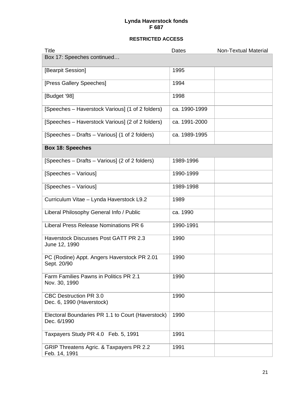| <b>Title</b>                                                     | Dates         | <b>Non-Textual Material</b> |
|------------------------------------------------------------------|---------------|-----------------------------|
| Box 17: Speeches continued                                       |               |                             |
| [Bearpit Session]                                                | 1995          |                             |
| [Press Gallery Speeches]                                         | 1994          |                             |
| [Budget '98]                                                     | 1998          |                             |
| [Speeches – Haverstock Various] (1 of 2 folders)                 | ca. 1990-1999 |                             |
| [Speeches – Haverstock Various] (2 of 2 folders)                 | ca. 1991-2000 |                             |
| [Speeches – Drafts – Various] (1 of 2 folders)                   | ca. 1989-1995 |                             |
| <b>Box 18: Speeches</b>                                          |               |                             |
| [Speeches – Drafts – Various] (2 of 2 folders)                   | 1989-1996     |                             |
| [Speeches - Various]                                             | 1990-1999     |                             |
| [Speeches - Various]                                             | 1989-1998     |                             |
| Curriculum Vitae - Lynda Haverstock L9.2                         | 1989          |                             |
| Liberal Philosophy General Info / Public                         | ca. 1990      |                             |
| Liberal Press Release Nominations PR 6                           | 1990-1991     |                             |
| <b>Haverstock Discusses Post GATT PR 2.3</b><br>June 12, 1990    | 1990          |                             |
| PC (Rodine) Appt. Angers Haverstock PR 2.01<br>Sept. 20/90       | 1990          |                             |
| <b>Farm Families Pawns in Politics PR 2.1</b><br>Nov. 30, 1990   | 1990          |                             |
| <b>CBC Destruction PR 3.0</b><br>Dec. 6, 1990 (Haverstock)       | 1990          |                             |
| Electoral Boundaries PR 1.1 to Court (Haverstock)<br>Dec. 6/1990 | 1990          |                             |
| Taxpayers Study PR 4.0 Feb. 5, 1991                              | 1991          |                             |
| GRIP Threatens Agric. & Taxpayers PR 2.2<br>Feb. 14, 1991        | 1991          |                             |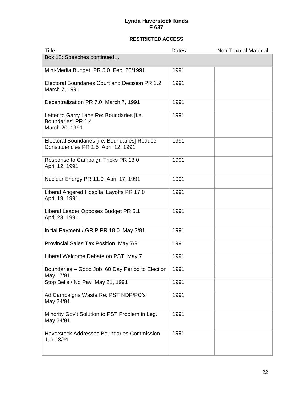| <b>Title</b>                                                                          | Dates | <b>Non-Textual Material</b> |
|---------------------------------------------------------------------------------------|-------|-----------------------------|
| Box 18: Speeches continued                                                            |       |                             |
| Mini-Media Budget PR 5.0 Feb. 20/1991                                                 | 1991  |                             |
| Electoral Boundaries Court and Decision PR 1.2<br>March 7, 1991                       | 1991  |                             |
| Decentralization PR 7.0 March 7, 1991                                                 | 1991  |                             |
| Letter to Garry Lane Re: Boundaries [i.e.<br>Boundaries] PR 1.4<br>March 20, 1991     | 1991  |                             |
| Electoral Boundaries [i.e. Boundaries] Reduce<br>Constituencies PR 1.5 April 12, 1991 | 1991  |                             |
| Response to Campaign Tricks PR 13.0<br>April 12, 1991                                 | 1991  |                             |
| Nuclear Energy PR 11.0 April 17, 1991                                                 | 1991  |                             |
| Liberal Angered Hospital Layoffs PR 17.0<br>April 19, 1991                            | 1991  |                             |
| Liberal Leader Opposes Budget PR 5.1<br>April 23, 1991                                | 1991  |                             |
| Initial Payment / GRIP PR 18.0 May 2/91                                               | 1991  |                             |
| Provincial Sales Tax Position May 7/91                                                | 1991  |                             |
| Liberal Welcome Debate on PST May 7                                                   | 1991  |                             |
| Boundaries - Good Job 60 Day Period to Election<br>May 17/91                          | 1991  |                             |
| Stop Bells / No Pay May 21, 1991                                                      | 1991  |                             |
| Ad Campaigns Waste Re: PST NDP/PC's<br>May 24/91                                      | 1991  |                             |
| Minority Gov't Solution to PST Problem in Leg.<br>May 24/91                           | 1991  |                             |
| <b>Haverstock Addresses Boundaries Commission</b><br>June 3/91                        | 1991  |                             |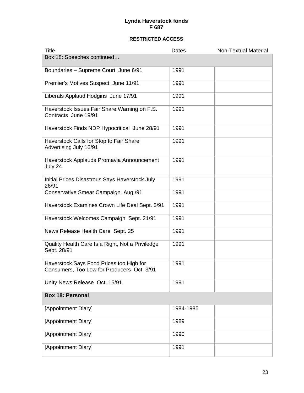| <b>Title</b>                                                                           | Dates     | <b>Non-Textual Material</b> |
|----------------------------------------------------------------------------------------|-----------|-----------------------------|
| Box 18: Speeches continued                                                             |           |                             |
| Boundaries - Supreme Court June 6/91                                                   | 1991      |                             |
| Premier's Motives Suspect June 11/91                                                   | 1991      |                             |
| Liberals Applaud Hodgins June 17/91                                                    | 1991      |                             |
| Haverstock Issues Fair Share Warning on F.S.<br>Contracts June 19/91                   | 1991      |                             |
| Haverstock Finds NDP Hypocritical June 28/91                                           | 1991      |                             |
| Haverstock Calls for Stop to Fair Share<br>Advertising July 16/91                      | 1991      |                             |
| Haverstock Applauds Promavia Announcement<br>July 24                                   | 1991      |                             |
| Initial Prices Disastrous Says Haverstock July<br>26/91                                | 1991      |                             |
| Conservative Smear Campaign Aug./91                                                    | 1991      |                             |
| Haverstock Examines Crown Life Deal Sept. 5/91                                         | 1991      |                             |
| Haverstock Welcomes Campaign Sept. 21/91                                               | 1991      |                             |
| News Release Health Care Sept. 25                                                      | 1991      |                             |
| Quality Health Care Is a Right, Not a Priviledge<br>Sept. 28/91                        | 1991      |                             |
| Haverstock Says Food Prices too High for<br>Consumers, Too Low for Producers Oct. 3/91 | 1991      |                             |
| Unity News Release Oct. 15/91                                                          | 1991      |                             |
| <b>Box 18: Personal</b>                                                                |           |                             |
| [Appointment Diary]                                                                    | 1984-1985 |                             |
| [Appointment Diary]                                                                    | 1989      |                             |
| [Appointment Diary]                                                                    | 1990      |                             |
| [Appointment Diary]                                                                    | 1991      |                             |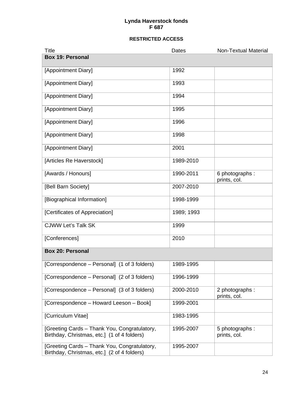| <b>Title</b>                                                                                | Dates      | <b>Non-Textual Material</b>     |
|---------------------------------------------------------------------------------------------|------------|---------------------------------|
| <b>Box 19: Personal</b>                                                                     |            |                                 |
| [Appointment Diary]                                                                         | 1992       |                                 |
| [Appointment Diary]                                                                         | 1993       |                                 |
| [Appointment Diary]                                                                         | 1994       |                                 |
| [Appointment Diary]                                                                         | 1995       |                                 |
| [Appointment Diary]                                                                         | 1996       |                                 |
| [Appointment Diary]                                                                         | 1998       |                                 |
| [Appointment Diary]                                                                         | 2001       |                                 |
| [Articles Re Haverstock]                                                                    | 1989-2010  |                                 |
| [Awards / Honours]                                                                          | 1990-2011  | 6 photographs :<br>prints, col. |
| [Bell Barn Society]                                                                         | 2007-2010  |                                 |
| [Biographical Information]                                                                  | 1998-1999  |                                 |
| [Certificates of Appreciation]                                                              | 1989; 1993 |                                 |
| <b>CJWW Let's Talk SK</b>                                                                   | 1999       |                                 |
| [Conferences]                                                                               | 2010       |                                 |
| <b>Box 20: Personal</b>                                                                     |            |                                 |
| [Correspondence - Personal] (1 of 3 folders)                                                | 1989-1995  |                                 |
| [Correspondence - Personal] (2 of 3 folders)                                                | 1996-1999  |                                 |
| [Correspondence – Personal] (3 of 3 folders)                                                | 2000-2010  | 2 photographs :<br>prints, col. |
| [Correspondence – Howard Leeson – Book]                                                     | 1999-2001  |                                 |
| [Curriculum Vitae]                                                                          | 1983-1995  |                                 |
| [Greeting Cards - Thank You, Congratulatory,<br>Birthday, Christmas, etc.] (1 of 4 folders) | 1995-2007  | 5 photographs :<br>prints, col. |
| [Greeting Cards - Thank You, Congratulatory,<br>Birthday, Christmas, etc.] (2 of 4 folders) | 1995-2007  |                                 |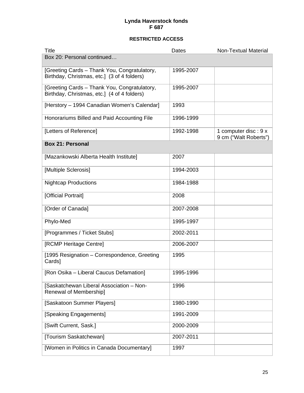| <b>Title</b>                                                                                | Dates     | <b>Non-Textual Material</b>                   |
|---------------------------------------------------------------------------------------------|-----------|-----------------------------------------------|
| Box 20: Personal continued                                                                  |           |                                               |
| [Greeting Cards - Thank You, Congratulatory,<br>Birthday, Christmas, etc.] (3 of 4 folders) | 1995-2007 |                                               |
| [Greeting Cards - Thank You, Congratulatory,<br>Birthday, Christmas, etc.] (4 of 4 folders) | 1995-2007 |                                               |
| [Herstory - 1994 Canadian Women's Calendar]                                                 | 1993      |                                               |
| Honorariums Billed and Paid Accounting File                                                 | 1996-1999 |                                               |
| [Letters of Reference]                                                                      | 1992-1998 | 1 computer disc: 9 x<br>9 cm ("Walt Roberts") |
| <b>Box 21: Personal</b>                                                                     |           |                                               |
| [Mazankowski Alberta Health Institute]                                                      | 2007      |                                               |
| [Multiple Sclerosis]                                                                        | 1994-2003 |                                               |
| <b>Nightcap Productions</b>                                                                 | 1984-1988 |                                               |
| [Official Portrait]                                                                         | 2008      |                                               |
| [Order of Canada]                                                                           | 2007-2008 |                                               |
| Phylo-Med                                                                                   | 1995-1997 |                                               |
| [Programmes / Ticket Stubs]                                                                 | 2002-2011 |                                               |
| [RCMP Heritage Centre]                                                                      | 2006-2007 |                                               |
| [1995 Resignation - Correspondence, Greeting<br>Cards]                                      | 1995      |                                               |
| [Ron Osika - Liberal Caucus Defamation]                                                     | 1995-1996 |                                               |
| [Saskatchewan Liberal Association - Non-<br>Renewal of Membership]                          | 1996      |                                               |
| [Saskatoon Summer Players]                                                                  | 1980-1990 |                                               |
| [Speaking Engagements]                                                                      | 1991-2009 |                                               |
| [Swift Current, Sask.]                                                                      | 2000-2009 |                                               |
| [Tourism Saskatchewan]                                                                      | 2007-2011 |                                               |
| [Women in Politics in Canada Documentary]                                                   | 1997      |                                               |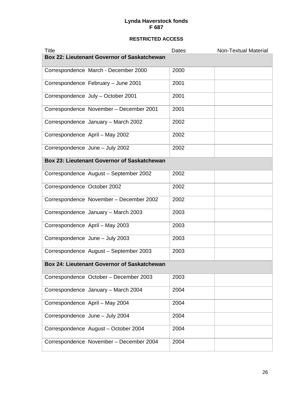| <b>Title</b>                                       | Dates | <b>Non-Textual Material</b> |
|----------------------------------------------------|-------|-----------------------------|
| <b>Box 22: Lieutenant Governor of Saskatchewan</b> |       |                             |
| Correspondence March - December 2000               | 2000  |                             |
| Correspondence February - June 2001                | 2001  |                             |
| Correspondence July - October 2001                 | 2001  |                             |
| Correspondence November - December 2001            | 2001  |                             |
| Correspondence January - March 2002                | 2002  |                             |
| Correspondence April - May 2002                    | 2002  |                             |
| Correspondence June - July 2002                    | 2002  |                             |
| <b>Box 23: Lieutenant Governor of Saskatchewan</b> |       |                             |
| Correspondence August - September 2002             | 2002  |                             |
| Correspondence October 2002                        | 2002  |                             |
| Correspondence November - December 2002            | 2002  |                             |
| Correspondence January - March 2003                | 2003  |                             |
| Correspondence April - May 2003                    | 2003  |                             |
| Correspondence June - July 2003                    | 2003  |                             |
| Correspondence August - September 2003             | 2003  |                             |
| <b>Box 24: Lieutenant Governor of Saskatchewan</b> |       |                             |
| Correspondence October - December 2003             | 2003  |                             |
| Correspondence January - March 2004                | 2004  |                             |
| Correspondence April - May 2004                    | 2004  |                             |
| Correspondence June - July 2004                    | 2004  |                             |
| Correspondence August - October 2004               | 2004  |                             |
| Correspondence November - December 2004            | 2004  |                             |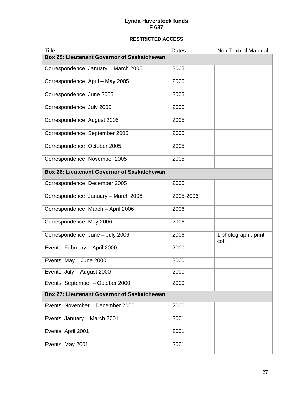| <b>Title</b>                                       | Dates     | <b>Non-Textual Material</b>  |
|----------------------------------------------------|-----------|------------------------------|
| Box 25: Lieutenant Governor of Saskatchewan        |           |                              |
| Correspondence January - March 2005                | 2005      |                              |
| Correspondence April - May 2005                    | 2005      |                              |
| Correspondence June 2005                           | 2005      |                              |
| Correspondence July 2005                           | 2005      |                              |
| Correspondence August 2005                         | 2005      |                              |
| Correspondence September 2005                      | 2005      |                              |
| Correspondence October 2005                        | 2005      |                              |
| Correspondence November 2005                       | 2005      |                              |
| Box 26: Lieutenant Governor of Saskatchewan        |           |                              |
| Correspondence December 2005                       | 2005      |                              |
| Correspondence January - March 2006                | 2005-2006 |                              |
| Correspondence March - April 2006                  | 2006      |                              |
| Correspondence May 2006                            | 2006      |                              |
| Correspondence June - July 2006                    | 2006      | 1 photograph: print,<br>col. |
| Events February - April 2000                       | 2000      |                              |
| Events May - June 2000                             | 2000      |                              |
| Events July - August 2000                          | 2000      |                              |
| Events September - October 2000                    | 2000      |                              |
| <b>Box 27: Lieutenant Governor of Saskatchewan</b> |           |                              |
| Events November - December 2000                    | 2000      |                              |
| Events January - March 2001                        | 2001      |                              |
| Events April 2001                                  | 2001      |                              |
| Events May 2001                                    | 2001      |                              |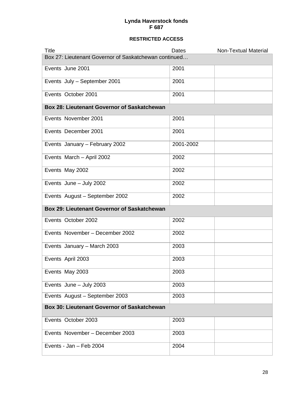| <b>Title</b>                                          | Dates     | Non-Textual Material |
|-------------------------------------------------------|-----------|----------------------|
| Box 27: Lieutenant Governor of Saskatchewan continued |           |                      |
| Events June 2001                                      | 2001      |                      |
| Events July - September 2001                          | 2001      |                      |
| Events October 2001                                   | 2001      |                      |
| <b>Box 28: Lieutenant Governor of Saskatchewan</b>    |           |                      |
| Events November 2001                                  | 2001      |                      |
| Events December 2001                                  | 2001      |                      |
| Events January - February 2002                        | 2001-2002 |                      |
| Events March - April 2002                             | 2002      |                      |
| Events May 2002                                       | 2002      |                      |
| Events June - July 2002                               | 2002      |                      |
| Events August - September 2002                        | 2002      |                      |
| <b>Box 29: Lieutenant Governor of Saskatchewan</b>    |           |                      |
| Events October 2002                                   | 2002      |                      |
| Events November - December 2002                       | 2002      |                      |
| Events January - March 2003                           | 2003      |                      |
| Events April 2003                                     | 2003      |                      |
| Events May 2003                                       | 2003      |                      |
| Events June - July 2003                               | 2003      |                      |
| Events August - September 2003                        | 2003      |                      |
| <b>Box 30: Lieutenant Governor of Saskatchewan</b>    |           |                      |
| Events October 2003                                   | 2003      |                      |
| Events November - December 2003                       | 2003      |                      |
| Events - Jan - Feb 2004                               | 2004      |                      |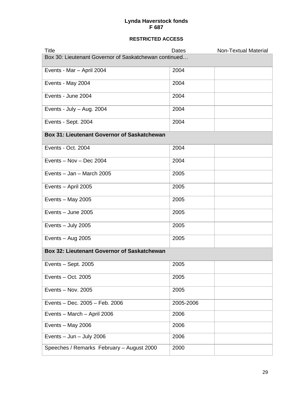| <b>Title</b>                                          | Dates     | <b>Non-Textual Material</b> |
|-------------------------------------------------------|-----------|-----------------------------|
| Box 30: Lieutenant Governor of Saskatchewan continued |           |                             |
| Events - Mar - April 2004                             | 2004      |                             |
| Events - May 2004                                     | 2004      |                             |
| Events - June 2004                                    | 2004      |                             |
| Events - July - Aug. 2004                             | 2004      |                             |
| Events - Sept. 2004                                   | 2004      |                             |
| <b>Box 31: Lieutenant Governor of Saskatchewan</b>    |           |                             |
| Events - Oct. 2004                                    | 2004      |                             |
| Events - Nov - Dec 2004                               | 2004      |                             |
| Events - Jan - March 2005                             | 2005      |                             |
| Events - April 2005                                   | 2005      |                             |
| Events - May 2005                                     | 2005      |                             |
| Events - June 2005                                    | 2005      |                             |
| Events - July 2005                                    | 2005      |                             |
| Events $-$ Aug 2005                                   | 2005      |                             |
| <b>Box 32: Lieutenant Governor of Saskatchewan</b>    |           |                             |
| Events $-$ Sept. 2005                                 | 2005      |                             |
| Events - Oct. 2005                                    | 2005      |                             |
| Events - Nov. 2005                                    | 2005      |                             |
| Events - Dec. 2005 - Feb. 2006                        | 2005-2006 |                             |
| Events - March - April 2006                           | 2006      |                             |
| Events - May 2006                                     | 2006      |                             |
| Events $-$ Jun $-$ July 2006                          | 2006      |                             |
| Speeches / Remarks February - August 2000             | 2000      |                             |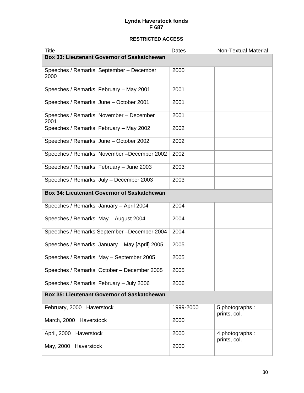| <b>Title</b>                                       | Dates     | <b>Non-Textual Material</b>     |
|----------------------------------------------------|-----------|---------------------------------|
| <b>Box 33: Lieutenant Governor of Saskatchewan</b> |           |                                 |
| Speeches / Remarks September - December<br>2000    | 2000      |                                 |
| Speeches / Remarks February - May 2001             | 2001      |                                 |
| Speeches / Remarks June - October 2001             | 2001      |                                 |
| Speeches / Remarks November - December<br>2001     | 2001      |                                 |
| Speeches / Remarks February - May 2002             | 2002      |                                 |
| Speeches / Remarks June - October 2002             | 2002      |                                 |
| Speeches / Remarks November-December 2002          | 2002      |                                 |
| Speeches / Remarks February - June 2003            | 2003      |                                 |
| Speeches / Remarks July - December 2003            | 2003      |                                 |
| <b>Box 34: Lieutenant Governor of Saskatchewan</b> |           |                                 |
| Speeches / Remarks January - April 2004            | 2004      |                                 |
| Speeches / Remarks May - August 2004               | 2004      |                                 |
| Speeches / Remarks September-December 2004         | 2004      |                                 |
| Speeches / Remarks January - May [April] 2005      | 2005      |                                 |
| Speeches / Remarks May - September 2005            | 2005      |                                 |
| Speeches / Remarks October - December 2005         | 2005      |                                 |
| Speeches / Remarks February - July 2006            | 2006      |                                 |
| <b>Box 35: Lieutenant Governor of Saskatchewan</b> |           |                                 |
| February, 2000 Haverstock                          | 1999-2000 | 5 photographs :<br>prints, col. |
| March, 2000 Haverstock                             | 2000      |                                 |
| April, 2000 Haverstock                             | 2000      | 4 photographs:<br>prints, col.  |
| May, 2000 Haverstock                               | 2000      |                                 |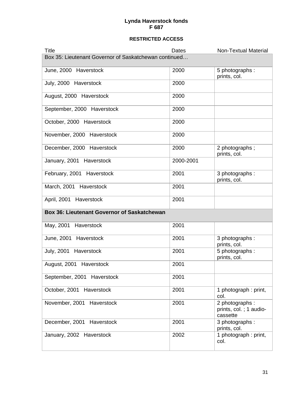| <b>Title</b>                                          | Dates     | <b>Non-Textual Material</b>                          |  |
|-------------------------------------------------------|-----------|------------------------------------------------------|--|
| Box 35: Lieutenant Governor of Saskatchewan continued |           |                                                      |  |
| June, 2000 Haverstock                                 | 2000      | 5 photographs :<br>prints, col.                      |  |
| July, 2000 Haverstock                                 | 2000      |                                                      |  |
| August, 2000 Haverstock                               | 2000      |                                                      |  |
| September, 2000 Haverstock                            | 2000      |                                                      |  |
| October, 2000 Haverstock                              | 2000      |                                                      |  |
| November, 2000 Haverstock                             | 2000      |                                                      |  |
| December, 2000 Haverstock                             | 2000      | 2 photographs;<br>prints, col.                       |  |
| January, 2001 Haverstock                              | 2000-2001 |                                                      |  |
| February, 2001 Haverstock                             | 2001      | 3 photographs:<br>prints, col.                       |  |
| March, 2001 Haverstock                                | 2001      |                                                      |  |
| April, 2001 Haverstock                                | 2001      |                                                      |  |
| <b>Box 36: Lieutenant Governor of Saskatchewan</b>    |           |                                                      |  |
| May, 2001 Haverstock                                  | 2001      |                                                      |  |
| June, 2001 Haverstock                                 | 2001      | 3 photographs:<br>prints, col.                       |  |
| July, 2001 Haverstock                                 | 2001      | 5 photographs:<br>prints, col.                       |  |
| August, 2001 Haverstock                               | 2001      |                                                      |  |
| September, 2001 Haverstock                            | 2001      |                                                      |  |
| October, 2001 Haverstock                              | 2001      | 1 photograph: print,<br>col.                         |  |
| November, 2001 Haverstock                             | 2001      | 2 photographs:<br>prints, col.; 1 audio-<br>cassette |  |
| December, 2001 Haverstock                             | 2001      | 3 photographs:<br>prints, col.                       |  |
| January, 2002 Haverstock                              | 2002      | 1 photograph: print,<br>col.                         |  |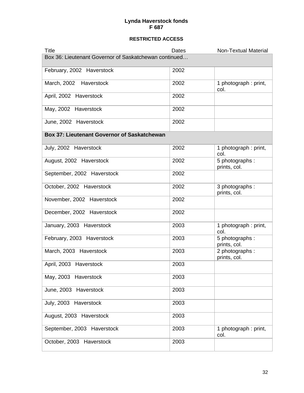| <b>Title</b>                                          | Dates | <b>Non-Textual Material</b>     |
|-------------------------------------------------------|-------|---------------------------------|
| Box 36: Lieutenant Governor of Saskatchewan continued |       |                                 |
| February, 2002 Haverstock                             | 2002  |                                 |
| March, 2002 Haverstock                                | 2002  | 1 photograph: print,<br>col.    |
| April, 2002 Haverstock                                | 2002  |                                 |
| May, 2002 Haverstock                                  | 2002  |                                 |
| June, 2002 Haverstock                                 | 2002  |                                 |
| <b>Box 37: Lieutenant Governor of Saskatchewan</b>    |       |                                 |
| July, 2002 Haverstock                                 | 2002  | 1 photograph: print,<br>col.    |
| August, 2002 Haverstock                               | 2002  | 5 photographs:<br>prints, col.  |
| September, 2002 Haverstock                            | 2002  |                                 |
| October, 2002 Haverstock                              | 2002  | 3 photographs:<br>prints, col.  |
| November, 2002 Haverstock                             | 2002  |                                 |
| December, 2002 Haverstock                             | 2002  |                                 |
| January, 2003 Haverstock                              | 2003  | 1 photograph: print,<br>col.    |
| February, 2003 Haverstock                             | 2003  | 5 photographs :<br>prints, col. |
| March, 2003 Haverstock                                | 2003  | 2 photographs:<br>prints, col.  |
| April, 2003 Haverstock                                | 2003  |                                 |
| May, 2003 Haverstock                                  | 2003  |                                 |
| June, 2003 Haverstock                                 | 2003  |                                 |
| July, 2003 Haverstock                                 | 2003  |                                 |
| August, 2003 Haverstock                               | 2003  |                                 |
| September, 2003 Haverstock                            | 2003  | 1 photograph: print,<br>col.    |
| October, 2003 Haverstock                              | 2003  |                                 |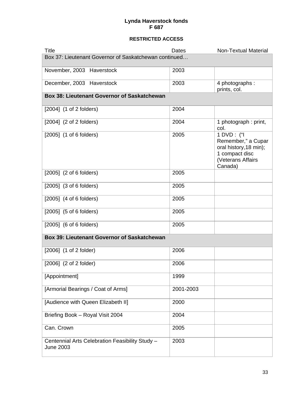| <b>Title</b>                                                        | Dates     | <b>Non-Textual Material</b>                                                                                  |
|---------------------------------------------------------------------|-----------|--------------------------------------------------------------------------------------------------------------|
| Box 37: Lieutenant Governor of Saskatchewan continued               |           |                                                                                                              |
| November, 2003 Haverstock                                           | 2003      |                                                                                                              |
| December, 2003 Haverstock                                           | 2003      | 4 photographs:<br>prints, col.                                                                               |
| <b>Box 38: Lieutenant Governor of Saskatchewan</b>                  |           |                                                                                                              |
| $[2004]$ (1 of 2 folders)                                           | 2004      |                                                                                                              |
| $[2004]$ $(2 \text{ of } 2 \text{ foldsers})$                       | 2004      | 1 photograph: print,<br>col.                                                                                 |
| $[2005]$ (1 of 6 folders)                                           | 2005      | 1 DVD: ("I<br>Remember," a Cupar<br>oral history, 18 min);<br>1 compact disc<br>(Veterans Affairs<br>Canada) |
| [2005] (2 of 6 folders)                                             | 2005      |                                                                                                              |
| $[2005]$ $(3 \text{ of } 6 \text{ folds} \text{ is})$               | 2005      |                                                                                                              |
| $[2005]$ (4 of 6 folders)                                           | 2005      |                                                                                                              |
| $[2005]$ (5 of 6 folders)                                           | 2005      |                                                                                                              |
| $[2005]$ (6 of 6 folders)                                           | 2005      |                                                                                                              |
| <b>Box 39: Lieutenant Governor of Saskatchewan</b>                  |           |                                                                                                              |
| $[2006]$ $(1 \text{ of } 2 \text{ folder})$                         | 2006      |                                                                                                              |
| $[2006]$ $(2 \text{ of } 2 \text{ folder})$                         | 2006      |                                                                                                              |
| [Appointment]                                                       | 1999      |                                                                                                              |
| [Armorial Bearings / Coat of Arms]                                  | 2001-2003 |                                                                                                              |
| [Audience with Queen Elizabeth II]                                  | 2000      |                                                                                                              |
| Briefing Book - Royal Visit 2004                                    | 2004      |                                                                                                              |
| Can. Crown                                                          | 2005      |                                                                                                              |
| Centennial Arts Celebration Feasibility Study -<br><b>June 2003</b> | 2003      |                                                                                                              |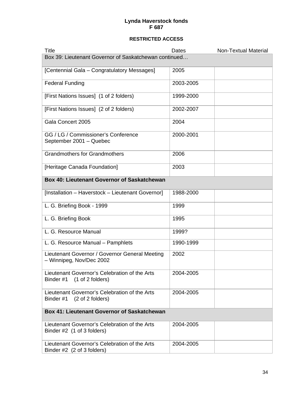| Title                                                                                                      | Dates     | <b>Non-Textual Material</b> |
|------------------------------------------------------------------------------------------------------------|-----------|-----------------------------|
| Box 39: Lieutenant Governor of Saskatchewan continued                                                      |           |                             |
| [Centennial Gala - Congratulatory Messages]                                                                | 2005      |                             |
| <b>Federal Funding</b>                                                                                     | 2003-2005 |                             |
| [First Nations Issues] (1 of 2 folders)                                                                    | 1999-2000 |                             |
| [First Nations Issues] (2 of 2 folders)                                                                    | 2002-2007 |                             |
| Gala Concert 2005                                                                                          | 2004      |                             |
| GG / LG / Commissioner's Conference<br>September 2001 - Quebec                                             | 2000-2001 |                             |
| <b>Grandmothers for Grandmothers</b>                                                                       | 2006      |                             |
| [Heritage Canada Foundation]                                                                               | 2003      |                             |
| Box 40: Lieutenant Governor of Saskatchewan                                                                |           |                             |
| [Installation - Haverstock - Lieutenant Governor]                                                          | 1988-2000 |                             |
| L. G. Briefing Book - 1999                                                                                 | 1999      |                             |
| L. G. Briefing Book                                                                                        | 1995      |                             |
| L. G. Resource Manual                                                                                      | 1999?     |                             |
| L. G. Resource Manual - Pamphlets                                                                          | 1990-1999 |                             |
| Lieutenant Governor / Governor General Meeting<br>- Winnipeg, Nov/Dec 2002                                 | 2002      |                             |
| Lieutenant Governor's Celebration of the Arts<br>Binder #1<br>$(1 \text{ of } 2 \text{ folds} \text{ is})$ | 2004-2005 |                             |
| Lieutenant Governor's Celebration of the Arts<br>(2 of 2 folders)<br>Binder #1                             | 2004-2005 |                             |
| <b>Box 41: Lieutenant Governor of Saskatchewan</b>                                                         |           |                             |
| Lieutenant Governor's Celebration of the Arts<br>Binder #2 (1 of 3 folders)                                | 2004-2005 |                             |
| Lieutenant Governor's Celebration of the Arts<br>Binder #2 (2 of 3 folders)                                | 2004-2005 |                             |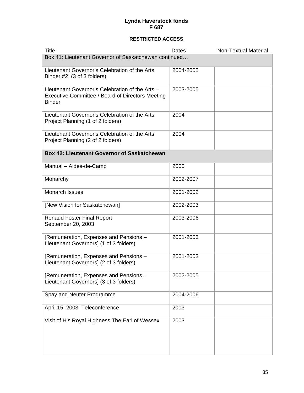| <b>Title</b>                                                                                                         | Dates     | <b>Non-Textual Material</b> |
|----------------------------------------------------------------------------------------------------------------------|-----------|-----------------------------|
| Box 41: Lieutenant Governor of Saskatchewan continued                                                                |           |                             |
| Lieutenant Governor's Celebration of the Arts<br>Binder #2 (3 of 3 folders)                                          | 2004-2005 |                             |
| Lieutenant Governor's Celebration of the Arts -<br>Executive Committee / Board of Directors Meeting<br><b>Binder</b> | 2003-2005 |                             |
| Lieutenant Governor's Celebration of the Arts<br>Project Planning (1 of 2 folders)                                   | 2004      |                             |
| Lieutenant Governor's Celebration of the Arts<br>Project Planning (2 of 2 folders)                                   | 2004      |                             |
| <b>Box 42: Lieutenant Governor of Saskatchewan</b>                                                                   |           |                             |
| Manual - Aides-de-Camp                                                                                               | 2000      |                             |
| Monarchy                                                                                                             | 2002-2007 |                             |
| Monarch Issues                                                                                                       | 2001-2002 |                             |
| [New Vision for Saskatchewan]                                                                                        | 2002-2003 |                             |
| <b>Renaud Foster Final Report</b><br>September 20, 2003                                                              | 2003-2006 |                             |
| [Remuneration, Expenses and Pensions -<br>Lieutenant Governors] (1 of 3 folders)                                     | 2001-2003 |                             |
| [Remuneration, Expenses and Pensions -<br>Lieutenant Governors] (2 of 3 folders)                                     | 2001-2003 |                             |
| [Remuneration, Expenses and Pensions -<br>Lieutenant Governors] (3 of 3 folders)                                     | 2002-2005 |                             |
| Spay and Neuter Programme                                                                                            | 2004-2006 |                             |
| April 15, 2003 Teleconference                                                                                        | 2003      |                             |
| Visit of His Royal Highness The Earl of Wessex                                                                       | 2003      |                             |
|                                                                                                                      |           |                             |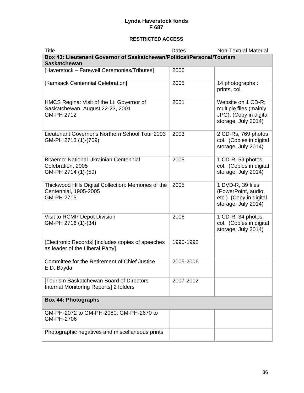| Title                                                                                             | Dates     | <b>Non-Textual Material</b>                                                                   |
|---------------------------------------------------------------------------------------------------|-----------|-----------------------------------------------------------------------------------------------|
| Box 43: Lieutenant Governor of Saskatchewan/Political/Personal/Tourism<br><b>Saskatchewan</b>     |           |                                                                                               |
| [Haverstock - Farewell Ceremonies/Tributes]                                                       | 2006      |                                                                                               |
| [Kamsack Centennial Celebration]                                                                  | 2005      | 14 photographs:<br>prints, col.                                                               |
| HMCS Regina: Visit of the Lt. Governor of<br>Saskatchewan, August 22-23, 2001<br>GM-PH 2712       | 2001      | Website on 1 CD-R;<br>multiple files (mainly<br>JPG). (Copy in digital<br>storage, July 2014) |
| Lieutenant Governor's Northern School Tour 2003<br>GM-PH 2713 (1)-(769)                           | 2003      | 2 CD-Rs, 769 photos,<br>col. (Copies in digital<br>storage, July 2014)                        |
| Bitaemo: National Ukrainian Centennial<br>Celebration, 2005<br>GM-PH 2714 (1)-(59)                | 2005      | 1 CD-R, 59 photos,<br>col. (Copies in digital<br>storage, July 2014)                          |
| Thickwood Hills Digital Collection: Memories of the<br>Centennial, 1905-2005<br><b>GM-PH 2715</b> | 2005      | 1 DVD-R, 39 files<br>(PowerPoint, audio,<br>etc.) (Copy in digital<br>storage, July 2014)     |
| Visit to RCMP Depot Division<br>GM-PH 2716 (1)-(34)                                               | 2006      | 1 CD-R, 34 photos,<br>col. (Copies in digital<br>storage, July 2014)                          |
| [Electronic Records] [includes copies of speeches<br>as leader of the Liberal Party]              | 1990-1992 |                                                                                               |
| Committee for the Retirement of Chief Justice<br>E.D. Bayda                                       | 2005-2006 |                                                                                               |
| [Tourism Saskatchewan Board of Directors<br>Internal Monitoring Reports] 2 folders                | 2007-2012 |                                                                                               |
| <b>Box 44: Photographs</b>                                                                        |           |                                                                                               |
| GM-PH-2072 to GM-PH-2080; GM-PH-2670 to<br>GM-PH-2706                                             |           |                                                                                               |
| Photographic negatives and miscellaneous prints                                                   |           |                                                                                               |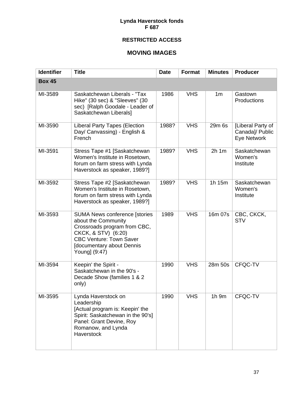#### **RESTRICTED ACCESS**

#### **MOVING IMAGES**

| <b>Identifier</b> | <b>Title</b>                                                                                                                                                                                              | <b>Date</b> | <b>Format</b> | <b>Minutes</b> | <b>Producer</b>                                     |
|-------------------|-----------------------------------------------------------------------------------------------------------------------------------------------------------------------------------------------------------|-------------|---------------|----------------|-----------------------------------------------------|
| <b>Box 45</b>     |                                                                                                                                                                                                           |             |               |                |                                                     |
| MI-3589           | Saskatchewan Liberals - "Tax<br>Hike" (30 sec) & "Sleeves" (30<br>sec) [Ralph Goodale - Leader of<br>Saskatchewan Liberals]                                                                               | 1986        | <b>VHS</b>    | 1 <sub>m</sub> | Gastown<br>Productions                              |
| MI-3590           | <b>Liberal Party Tapes (Election</b><br>Day/ Canvassing) - English &<br>French                                                                                                                            | 1988?       | <b>VHS</b>    | 29m 6s         | [Liberal Party of<br>Canada]/ Public<br>Eye Network |
| MI-3591           | Stress Tape #1 [Saskatchewan<br>Women's Institute in Rosetown,<br>forum on farm stress with Lynda<br>Haverstock as speaker, 1989?]                                                                        | 1989?       | <b>VHS</b>    | $2h$ 1 $m$     | Saskatchewan<br>Women's<br>Institute                |
| MI-3592           | Stress Tape #2 [Saskatchewan<br>Women's Institute in Rosetown,<br>forum on farm stress with Lynda<br>Haverstock as speaker, 1989?]                                                                        | 1989?       | <b>VHS</b>    | 1h 15m         | Saskatchewan<br>Women's<br>Institute                |
| MI-3593           | <b>SUMA News conference [stories</b><br>about the Community<br>Crossroads program from CBC,<br>CKCK, & STV) (6:20)<br><b>CBC Venture: Town Saver</b><br><b>[documentary about Dennis</b><br>Young] (9:47) | 1989        | <b>VHS</b>    | 16m 07s        | CBC, CKCK,<br><b>STV</b>                            |
| MI-3594           | Keepin' the Spirit -<br>Saskatchewan in the 90's -<br>Decade Show (families 1 & 2<br>only)                                                                                                                | 1990        | <b>VHS</b>    | 28m 50s        | CFQC-TV                                             |
| MI-3595           | Lynda Haverstock on<br>Leadership<br>[Actual program is: Keepin' the<br>Spirit: Saskatchewan in the 90's]<br>Panel: Grant Devine, Roy<br>Romanow, and Lynda<br>Haverstock                                 | 1990        | <b>VHS</b>    | 1h 9m          | CFQC-TV                                             |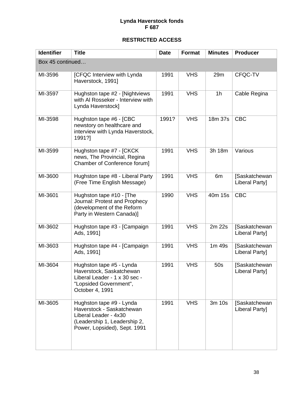| <b>Identifier</b> | <b>Title</b>                                                                                                                                   | <b>Date</b> | Format     | <b>Minutes</b> | <b>Producer</b>                 |
|-------------------|------------------------------------------------------------------------------------------------------------------------------------------------|-------------|------------|----------------|---------------------------------|
| Box 45 continued  |                                                                                                                                                |             |            |                |                                 |
| MI-3596           | [CFQC Interview with Lynda<br>Haverstock, 1991]                                                                                                | 1991        | <b>VHS</b> | 29m            | CFQC-TV                         |
| MI-3597           | Hughston tape #2 - [Nightviews<br>with AI Rosseker - Interview with<br>Lynda Haverstock]                                                       | 1991        | <b>VHS</b> | 1 <sub>h</sub> | Cable Regina                    |
| MI-3598           | Hughston tape #6 - [CBC<br>newstory on healthcare and<br>interview with Lynda Haverstock,<br>1991?]                                            | 1991?       | <b>VHS</b> | 18m 37s        | <b>CBC</b>                      |
| MI-3599           | Hughston tape #7 - [CKCK<br>news, The Provincial, Regina<br>Chamber of Conference forum]                                                       | 1991        | <b>VHS</b> | 3h 18m         | Various                         |
| MI-3600           | Hughston tape #8 - Liberal Party<br>(Free Time English Message)                                                                                | 1991        | <b>VHS</b> | 6m             | [Saskatchewan<br>Liberal Party] |
| MI-3601           | Hughston tape #10 - [The<br>Journal: Protest and Prophecy<br>(development of the Reform<br>Party in Western Canada)]                           | 1990        | <b>VHS</b> | 40m 15s        | <b>CBC</b>                      |
| MI-3602           | Hughston tape #3 - [Campaign<br>Ads, 1991]                                                                                                     | 1991        | <b>VHS</b> | 2m 22s         | [Saskatchewan<br>Liberal Party] |
| MI-3603           | Hughston tape #4 - [Campaign<br>Ads, 1991]                                                                                                     | 1991        | <b>VHS</b> | $1m$ 49s       | [Saskatchewan<br>Liberal Party] |
| MI-3604           | Hughston tape #5 - Lynda<br>Haverstock, Saskatchewan<br>Liberal Leader - 1 x 30 sec -<br>"Lopsided Government",<br>October 4, 1991             | 1991        | <b>VHS</b> | 50s            | [Saskatchewan<br>Liberal Party] |
| MI-3605           | Hughston tape #9 - Lynda<br>Haverstock - Saskatchewan<br>Liberal Leader - 4x30<br>(Leadership 1, Leadership 2,<br>Power, Lopsided), Sept. 1991 | 1991        | <b>VHS</b> | 3m 10s         | [Saskatchewan<br>Liberal Party] |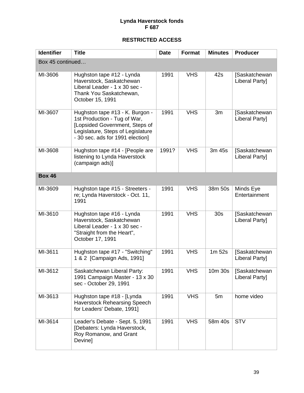| <b>Identifier</b> | <b>Title</b>                                                                                                                                                               | <b>Date</b> | <b>Format</b> | <b>Minutes</b>  | <b>Producer</b>                            |
|-------------------|----------------------------------------------------------------------------------------------------------------------------------------------------------------------------|-------------|---------------|-----------------|--------------------------------------------|
| Box 45 continued  |                                                                                                                                                                            |             |               |                 |                                            |
| MI-3606           | Hughston tape #12 - Lynda<br>Haverstock, Saskatchewan<br>Liberal Leader - 1 x 30 sec -<br>Thank You Saskatchewan,<br>October 15, 1991                                      | 1991        | <b>VHS</b>    | 42s             | Saskatchewan<br>Liberal Party]             |
| MI-3607           | Hughston tape #13 - K. Burgon -<br>1st Production - Tug of War,<br>[Lopsided Government, Steps of<br>Legislature, Steps of Legislature<br>- 30 sec. ads for 1991 election] | 1991        | <b>VHS</b>    | 3m              | [Saskatchewan<br>Liberal Party]            |
| MI-3608           | Hughston tape #14 - [People are<br>listening to Lynda Haverstock<br>(campaign ads)]                                                                                        | 1991?       | <b>VHS</b>    | 3m 45s          | Saskatchewan<br>Liberal Party]             |
| <b>Box 46</b>     |                                                                                                                                                                            |             |               |                 |                                            |
| MI-3609           | Hughston tape #15 - Streeters -<br>re; Lynda Haverstock - Oct. 11,<br>1991                                                                                                 | 1991        | <b>VHS</b>    | 38m 50s         | Minds Eye<br>Entertainment                 |
| MI-3610           | Hughston tape #16 - Lynda<br>Haverstock, Saskatchewan<br>Liberal Leader - 1 x 30 sec -<br>"Straight from the Heart",<br>October 17, 1991                                   | 1991        | <b>VHS</b>    | 30 <sub>s</sub> | Saskatchewan<br>Liberal Party]             |
| MI-3611           | Hughston tape #17 - "Switching"<br>1 & 2 [Campaign Ads, 1991]                                                                                                              | 1991        | <b>VHS</b>    | 1m 52s          | <b>Saskatchewan</b><br>Liberal Party]      |
| MI-3612           | Saskatchewan Liberal Party:<br>1991 Campaign Master - 13 x 30<br>sec - October 29, 1991                                                                                    | 1991        | <b>VHS</b>    |                 | 10m 30s   [Saskatchewan]<br>Liberal Party] |
| MI-3613           | Hughston tape #18 - [Lynda<br><b>Haverstock Rehearsing Speech</b><br>for Leaders' Debate, 1991]                                                                            | 1991        | <b>VHS</b>    | 5m              | home video                                 |
| MI-3614           | Leader's Debate - Sept. 5, 1991<br>[Debaters: Lynda Haverstock,<br>Roy Romanow, and Grant<br>Devine]                                                                       | 1991        | <b>VHS</b>    | 58m 40s         | <b>STV</b>                                 |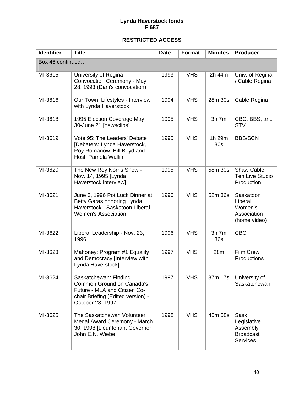| <b>Identifier</b> | <b>Title</b>                                                                                                                                | <b>Date</b> | <b>Format</b> | <b>Minutes</b>            | <b>Producer</b>                                                        |
|-------------------|---------------------------------------------------------------------------------------------------------------------------------------------|-------------|---------------|---------------------------|------------------------------------------------------------------------|
| Box 46 continued  |                                                                                                                                             |             |               |                           |                                                                        |
| MI-3615           | University of Regina<br>Convocation Ceremony - May<br>28, 1993 (Dani's convocation)                                                         | 1993        | <b>VHS</b>    | 2h 44m                    | Univ. of Regina<br>/ Cable Regina                                      |
| MI-3616           | Our Town: Lifestyles - Interview<br>with Lynda Haverstock                                                                                   | 1994        | <b>VHS</b>    | 28m 30s                   | Cable Regina                                                           |
| MI-3618           | 1995 Election Coverage May<br>30-June 21 [newsclips]                                                                                        | 1995        | <b>VHS</b>    | $3h$ 7 $m$                | CBC, BBS, and<br><b>STV</b>                                            |
| MI-3619           | Vote 95: The Leaders' Debate<br>[Debaters: Lynda Haverstock,<br>Roy Romanow, Bill Boyd and<br>Host: Pamela Wallin]                          | 1995        | <b>VHS</b>    | 1h 29m<br>30 <sub>s</sub> | <b>BBS/SCN</b>                                                         |
| MI-3620           | The New Roy Norris Show -<br>Nov. 14, 1995 [Lynda<br>Haverstock interview]                                                                  | 1995        | <b>VHS</b>    | 58m 30s                   | <b>Shaw Cable</b><br><b>Ten Live Studio</b><br>Production              |
| MI-3621           | June 3, 1996 Pot Luck Dinner at<br>Betty Garas honoring Lynda<br>Haverstock - Saskatoon Liberal<br><b>Women's Association</b>               | 1996        | <b>VHS</b>    | 52m 36s                   | Saskatoon<br>Liberal<br>Women's<br>Association<br>(home video)         |
| MI-3622           | Liberal Leadership - Nov. 23,<br>1996                                                                                                       | 1996        | <b>VHS</b>    | $3h$ 7 $m$<br>36s         | <b>CBC</b>                                                             |
| MI-3623           | Mahoney: Program #1 Equality<br>and Democracy [Interview with<br>Lynda Haverstock]                                                          | 1997        | <b>VHS</b>    | 28m                       | <b>Film Crew</b><br>Productions                                        |
| MI-3624           | Saskatchewan: Finding<br>Common Ground on Canada's<br>Future - MLA and Citizen Co-<br>chair Briefing (Edited version) -<br>October 28, 1997 | 1997        | <b>VHS</b>    | 37m 17s                   | University of<br>Saskatchewan                                          |
| MI-3625           | The Saskatchewan Volunteer<br>Medal Award Ceremony - March<br>30, 1998 [Lieuntenant Governor<br>John E.N. Wiebe]                            | 1998        | <b>VHS</b>    | 45m 58s                   | Sask<br>Legislative<br>Assembly<br><b>Broadcast</b><br><b>Services</b> |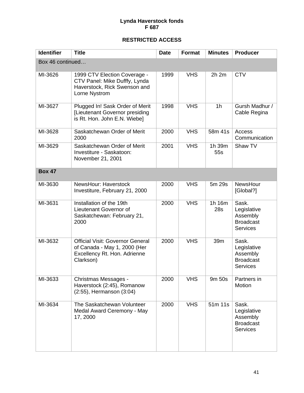| <b>Identifier</b> | <b>Title</b>                                                                                                         | <b>Date</b> | Format     | <b>Minutes</b>        | <b>Producer</b>                                                         |
|-------------------|----------------------------------------------------------------------------------------------------------------------|-------------|------------|-----------------------|-------------------------------------------------------------------------|
| Box 46 continued  |                                                                                                                      |             |            |                       |                                                                         |
| MI-3626           | 1999 CTV Election Coverage -<br>CTV Panel: Mike Dufffy, Lynda<br>Haverstock, Rick Swenson and<br>Lorne Nystrom       | 1999        | <b>VHS</b> | $2h$ $2m$             | <b>CTV</b>                                                              |
| MI-3627           | Plugged In! Sask Order of Merit<br>[Lieutenant Governor presiding<br>is Rt. Hon. John E.N. Wiebe]                    | 1998        | <b>VHS</b> | 1 <sub>h</sub>        | Gursh Madhur /<br>Cable Regina                                          |
| MI-3628           | Saskatchewan Order of Merit<br>2000                                                                                  | 2000        | <b>VHS</b> | 58m 41s               | Access<br>Communication                                                 |
| MI-3629           | Saskatchewan Order of Merit<br>Investiture - Saskatoon:<br>November 21, 2001                                         | 2001        | <b>VHS</b> | 1h 39m<br>55s         | Shaw TV                                                                 |
| <b>Box 47</b>     |                                                                                                                      |             |            |                       |                                                                         |
| MI-3630           | NewsHour: Haverstock<br>Investiture, February 21, 2000                                                               | 2000        | <b>VHS</b> | 5m 29s                | NewsHour<br>[Global?]                                                   |
| MI-3631           | Installation of the 19th<br>Lieutenant Governor of<br>Saskatchewan: February 21,<br>2000                             | 2000        | <b>VHS</b> | 1h 16m<br>28s         | Sask.<br>Legislative<br>Assembly<br><b>Broadcast</b><br><b>Services</b> |
| MI-3632           | <b>Official Visit: Governor General</b><br>of Canada - May 1, 2000 (Her<br>Excellency Rt. Hon. Adrienne<br>Clarkson) | 2000        | <b>VHS</b> | 39m                   | Sask.<br>Legislative<br>Assembly<br><b>Broadcast</b><br><b>Services</b> |
| MI-3633           | Christmas Messages -<br>Haverstock (2:45), Romanow<br>(2:55), Hermanson (3:04)                                       | 2000        | <b>VHS</b> | 9m 50s                | Partners in<br>Motion                                                   |
| MI-3634           | The Saskatchewan Volunteer<br>Medal Award Ceremony - May<br>17, 2000                                                 | 2000        | <b>VHS</b> | $\overline{51}$ m 11s | Sask.<br>Legislative<br>Assembly<br><b>Broadcast</b><br><b>Services</b> |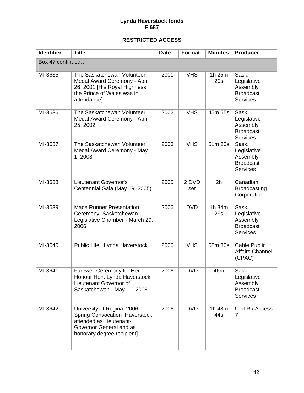| <b>Identifier</b> | <b>Title</b>                                                                                                                                            | <b>Date</b> | Format       | <b>Minutes</b> | <b>Producer</b>                                                         |
|-------------------|---------------------------------------------------------------------------------------------------------------------------------------------------------|-------------|--------------|----------------|-------------------------------------------------------------------------|
| Box 47 continued  |                                                                                                                                                         |             |              |                |                                                                         |
| MI-3635           | The Saskatchewan Volunteer<br>Medal Award Ceremony - April<br>26, 2001 [His Royal Highness<br>the Prince of Wales was in<br>attendance]                 | 2001        | <b>VHS</b>   | 1h 25m<br>20s  | Sask.<br>Legislative<br>Assembly<br><b>Broadcast</b><br><b>Services</b> |
| MI-3636           | The Saskatchewan Volunteer<br>Medal Award Ceremony - April<br>25, 2002                                                                                  | 2002        | <b>VHS</b>   | 45m 55s        | Sask.<br>Legislative<br>Assembly<br><b>Broadcast</b><br><b>Services</b> |
| MI-3637           | The Saskatchewan Volunteer<br>Medal Award Ceremony - May<br>1, 2003                                                                                     | 2003        | <b>VHS</b>   | 51m 20s        | Sask.<br>Legislative<br>Assembly<br><b>Broadcast</b><br><b>Services</b> |
| MI-3638           | Lieutenant Governor's<br>Centennial Gala (May 19, 2005)                                                                                                 | 2005        | 2 DVD<br>set | 2h             | Canadian<br><b>Broadcasting</b><br>Corporation                          |
| MI-3639           | <b>Mace Runner Presentation</b><br>Ceremony: Saskatchewan<br>Legislative Chamber - March 29,<br>2006                                                    | 2006        | <b>DVD</b>   | 1h 34m<br>29s  | Sask.<br>Legislative<br>Assembly<br><b>Broadcast</b><br><b>Services</b> |
| MI-3640           | Public Life: Lynda Haverstock                                                                                                                           | 2006        | <b>VHS</b>   | 58m 30s        | Cable Public<br><b>Affairs Channel</b><br>(CPAC)                        |
| MI-3641           | Farewell Ceremony for Her<br>Honour Hon. Lynda Haverstock<br>Lieutenant Governor of<br>Saskatchewan - May 11, 2006                                      | 2006        | <b>DVD</b>   | 46m            | Sask.<br>Legislative<br>Assembly<br><b>Broadcast</b><br><b>Services</b> |
| MI-3642           | University of Regina: 2006<br><b>Spring Convocation [Haverstock</b><br>attended as Lieutenant-<br>Governor General and as<br>honorary degree recipient] | 2006        | <b>DVD</b>   | 1h 48m<br>44s  | U of R / Access<br>7                                                    |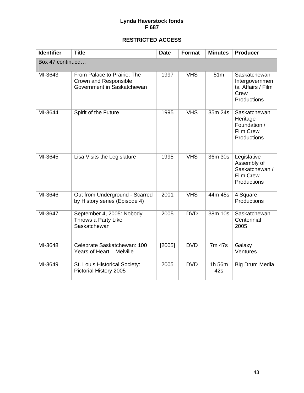| <b>Identifier</b> | <b>Title</b>                                                                       | <b>Date</b> | Format     | <b>Minutes</b>  | <b>Producer</b>                                                                 |  |  |
|-------------------|------------------------------------------------------------------------------------|-------------|------------|-----------------|---------------------------------------------------------------------------------|--|--|
| Box 47 continued  |                                                                                    |             |            |                 |                                                                                 |  |  |
| MI-3643           | From Palace to Prairie: The<br>Crown and Responsible<br>Government in Saskatchewan | 1997        | <b>VHS</b> | 51 <sub>m</sub> | Saskatchewan<br>Intergovernmen<br>tal Affairs / Film<br>Crew<br>Productions     |  |  |
| MI-3644           | Spirit of the Future                                                               | 1995        | <b>VHS</b> | 35m 24s         | Saskatchewan<br>Heritage<br>Foundation /<br><b>Film Crew</b><br>Productions     |  |  |
| MI-3645           | Lisa Visits the Legislature                                                        | 1995        | <b>VHS</b> | 36m 30s         | Legislative<br>Assembly of<br>Saskatchewan /<br><b>Film Crew</b><br>Productions |  |  |
| MI-3646           | Out from Underground - Scarred<br>by History series (Episode 4)                    | 2001        | <b>VHS</b> | 44m 45s         | 4 Square<br>Productions                                                         |  |  |
| MI-3647           | September 4, 2005: Nobody<br>Throws a Party Like<br>Saskatchewan                   | 2005        | <b>DVD</b> | 38m 10s         | Saskatchewan<br>Centennial<br>2005                                              |  |  |
| MI-3648           | Celebrate Saskatchewan: 100<br>Years of Heart - Melville                           | [2005]      | <b>DVD</b> | 7m 47s          | Galaxy<br>Ventures                                                              |  |  |
| MI-3649           | St. Louis Historical Society:<br>Pictorial History 2005                            | 2005        | <b>DVD</b> | 1h 56m<br>42s   | <b>Big Drum Media</b>                                                           |  |  |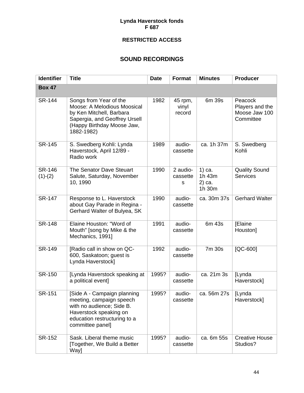#### **RESTRICTED ACCESS**

#### **SOUND RECORDINGS**

| <b>Identifier</b>          | <b>Title</b>                                                                                                                                                       | <b>Date</b> | <b>Format</b>                       | <b>Minutes</b>                       | <b>Producer</b>                                          |
|----------------------------|--------------------------------------------------------------------------------------------------------------------------------------------------------------------|-------------|-------------------------------------|--------------------------------------|----------------------------------------------------------|
| <b>Box 47</b>              |                                                                                                                                                                    |             |                                     |                                      |                                                          |
| <b>SR-144</b>              | Songs from Year of the<br>Moose: A Melodious Moosical<br>by Ken Mitchell, Barbara<br>Sapergia, and Geoffrey Ursell<br>(Happy Birthday Moose Jaw,<br>1882-1982)     | 1982        | 45 rpm,<br>vinyl<br>record          | 6m 39s                               | Peacock<br>Players and the<br>Moose Jaw 100<br>Committee |
| <b>SR-145</b>              | S. Swedberg Kohli: Lynda<br>Haverstock, April 12/89 -<br>Radio work                                                                                                | 1989        | audio-<br>cassette                  | ca. 1h 37m                           | S. Swedberg<br>Kohli                                     |
| <b>SR-146</b><br>$(1)-(2)$ | The Senator Dave Steuart<br>Salute, Saturday, November<br>10, 1990                                                                                                 | 1990        | 2 audio-<br>cassette<br>$\mathbf S$ | 1) ca.<br>1h 43m<br>2) ca.<br>1h 30m | <b>Quality Sound</b><br>Services                         |
| <b>SR-147</b>              | Response to L. Haverstock<br>about Gay Parade in Regina -<br>Gerhard Walter of Bulyea, SK                                                                          | 1990        | audio-<br>cassette                  | ca. 30m 37s                          | <b>Gerhard Walter</b>                                    |
| <b>SR-148</b>              | Elaine Houston: "Word of<br>Mouth" [song by Mike & the<br>Mechanics, 1991]                                                                                         | 1991        | audio-<br>cassette                  | 6m 43s                               | <b>[Elaine</b><br>Houston]                               |
| <b>SR-149</b>              | [Radio call in show on QC-<br>600, Saskatoon; guest is<br>Lynda Haverstock]                                                                                        | 1992        | audio-<br>cassette                  | 7m 30s                               | $[QC-600]$                                               |
| <b>SR-150</b>              | [Lynda Haverstock speaking at<br>a political event]                                                                                                                | 1995?       | audio-<br>cassette                  | ca. 21m 3s                           | [Lynda<br>Haverstock]                                    |
| <b>SR-151</b>              | [Side A - Campaign planning<br>meeting, campaign speech<br>with no audience; Side B.<br>Haverstock speaking on<br>education restructuring to a<br>committee panel] | 1995?       | audio-<br>cassette                  | ca. 56m 27s                          | [Lynda<br>Haverstock]                                    |
| <b>SR-152</b>              | Sask. Liberal theme music<br>[Together, We Build a Better<br>Way]                                                                                                  | 1995?       | audio-<br>cassette                  | ca. 6m 55s                           | <b>Creative House</b><br>Studios?                        |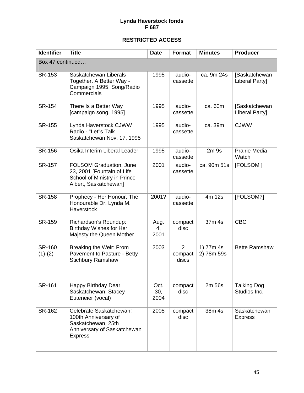| <b>Identifier</b>          | <b>Title</b>                                                                                                           | <b>Date</b>         | Format                             | <b>Minutes</b>          | <b>Producer</b>                    |  |
|----------------------------|------------------------------------------------------------------------------------------------------------------------|---------------------|------------------------------------|-------------------------|------------------------------------|--|
| Box 47 continued           |                                                                                                                        |                     |                                    |                         |                                    |  |
| SR-153                     | Saskatchewan Liberals<br>Together. A Better Way -<br>Campaign 1995, Song/Radio<br>Commercials                          | 1995                | audio-<br>cassette                 | ca. 9m 24s              | [Saskatchewan<br>Liberal Party]    |  |
| <b>SR-154</b>              | There Is a Better Way<br>[campaign song, 1995]                                                                         | 1995                | audio-<br>cassette                 | ca. 60m                 | [Saskatchewan<br>Liberal Party]    |  |
| <b>SR-155</b>              | Lynda Haverstock CJWW<br>Radio - "Let"s Talk<br>Saskatchewan Nov. 17, 1995                                             | 1995                | audio-<br>cassette                 | ca. 39m                 | <b>CJWW</b>                        |  |
| <b>SR-156</b>              | Osika Interim Liberal Leader                                                                                           | 1995                | audio-<br>cassette                 | 2m <sub>9s</sub>        | Prairie Media<br>Watch             |  |
| <b>SR-157</b>              | <b>FOLSOM Graduation, June</b><br>23, 2001 [Fountain of Life<br>School of Ministry in Prince<br>Albert, Saskatchewan]  | 2001                | audio-<br>cassette                 | ca. 90m 51s             | [FOLSOM]                           |  |
| <b>SR-158</b>              | Prophecy - Her Honour, The<br>Honourable Dr. Lynda M.<br>Haverstock                                                    | 2001?               | audio-<br>cassette                 | 4m 12s                  | [FOLSOM?]                          |  |
| <b>SR-159</b>              | Richardson's Roundup:<br><b>Birthday Wishes for Her</b><br>Majesty the Queen Mother                                    | Aug.<br>4,<br>2001  | compact<br>disc                    | 37m 4s                  | <b>CBC</b>                         |  |
| <b>SR-160</b><br>$(1)-(2)$ | Breaking the Weir: From<br>Pavement to Pasture - Betty<br><b>Stichbury Ramshaw</b>                                     | 2003                | $\overline{2}$<br>compact<br>discs | 1) 77m 4s<br>2) 78m 59s | <b>Bette Ramshaw</b>               |  |
| SR-161                     | Happy Birthday Dear<br>Saskatchewan: Stacey<br>Euteneier (vocal)                                                       | Oct.<br>30,<br>2004 | compact<br>disc                    | 2m 56s                  | <b>Talking Dog</b><br>Studios Inc. |  |
| <b>SR-162</b>              | Celebrate Saskatchewan!<br>100th Anniversary of<br>Saskatchewan, 25th<br>Anniversary of Saskatchewan<br><b>Express</b> | 2005                | compact<br>disc                    | 38m 4s                  | Saskatchewan<br><b>Express</b>     |  |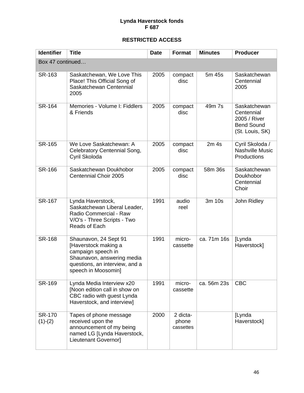| <b>Identifier</b>          | <b>Title</b>                                                                                                                                               | <b>Date</b> | <b>Format</b>                  | <b>Minutes</b>   | <b>Producer</b>                                                                    |  |
|----------------------------|------------------------------------------------------------------------------------------------------------------------------------------------------------|-------------|--------------------------------|------------------|------------------------------------------------------------------------------------|--|
| Box 47 continued           |                                                                                                                                                            |             |                                |                  |                                                                                    |  |
| SR-163                     | Saskatchewan, We Love This<br>Place! This Official Song of<br>Saskatchewan Centennial<br>2005                                                              | 2005        | compact<br>disc                | 5m 45s           | Saskatchewan<br>Centennial<br>2005                                                 |  |
| <b>SR-164</b>              | Memories - Volume I: Fiddlers<br>& Friends                                                                                                                 | 2005        | compact<br>disc                | 49m 7s           | Saskatchewan<br>Centennial<br>2005 / River<br><b>Bend Sound</b><br>(St. Louis, SK) |  |
| <b>SR-165</b>              | We Love Saskatchewan: A<br>Celebratory Centennial Song,<br>Cyril Skoloda                                                                                   | 2005        | compact<br>disc                | 2m <sub>4s</sub> | Cyril Skoloda /<br><b>Nashville Music</b><br>Productions                           |  |
| <b>SR-166</b>              | Saskatchewan Doukhobor<br>Centennial Choir 2005                                                                                                            | 2005        | compact<br>disc                | 58m 36s          | Saskatchewan<br>Doukhobor<br>Centennial<br>Choir                                   |  |
| <b>SR-167</b>              | Lynda Haverstock,<br>Saskatchewan Liberal Leader,<br>Radio Commercial - Raw<br>V/O's - Three Scripts - Two<br>Reads of Each                                | 1991        | audio<br>reel                  | 3m 10s           | John Ridley                                                                        |  |
| <b>SR-168</b>              | Shaunavon, 24 Sept 91<br>[Haverstock making a<br>campaign speech in<br>Shaunavon, answering media<br>questions, an interview, and a<br>speech in Moosomin] | 1991        | micro-<br>cassette             | ca. 71m 16s      | <b>[Lynda</b><br>Haverstock]                                                       |  |
| SR-169                     | Lynda Media Interview x20<br>[Noon edition call in show on<br>CBC radio with guest Lynda<br>Haverstock, and interview]                                     | 1991        | micro-<br>cassette             | ca. 56m 23s      | <b>CBC</b>                                                                         |  |
| <b>SR-170</b><br>$(1)-(2)$ | Tapes of phone message<br>received upon the<br>announcement of my being<br>named LG [Lynda Haverstock,<br>Lieutenant Governor]                             | 2000        | 2 dicta-<br>phone<br>cassettes |                  | [Lynda<br>Haverstock]                                                              |  |